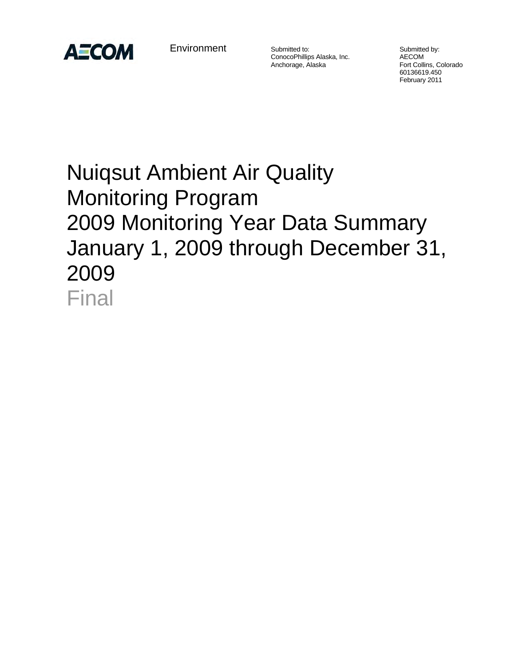

**Environment** 

Submitted to: Submitted by: ConocoPhillips Alaska, Inc. AECOM

Fort Collins, Colorado 60136619.450 February 2011

# Nuiqsut Ambient Air Quality Monitoring Program 2009 Monitoring Year Data Summary January 1, 2009 through December 31, 2009 Final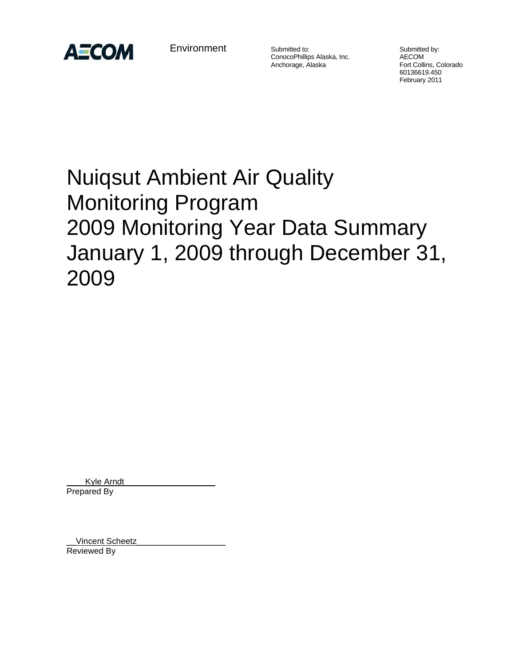

**Environment** 

Submitted to: Submitted by: ConocoPhillips Alaska, Inc. AECOM

Fort Collins, Colorado 60136619.450 February 2011

# Nuiqsut Ambient Air Quality Monitoring Program 2009 Monitoring Year Data Summary January 1, 2009 through December 31, 2009

Kyle Arndt Prepared By

Vincent Scheetz Reviewed By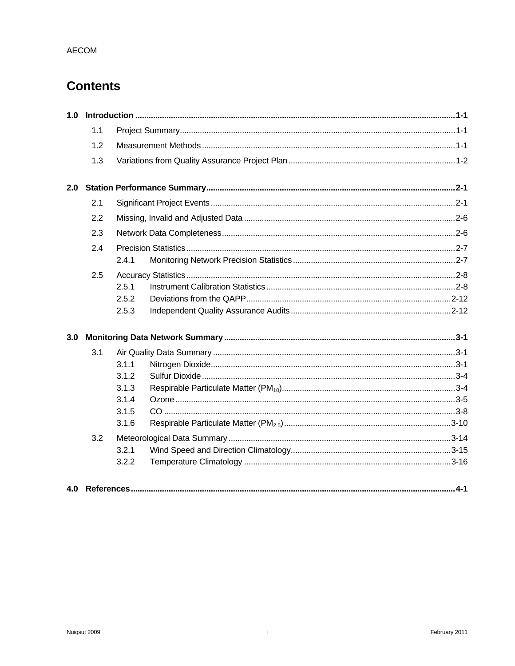# **Contents**

| 1.0 |     |       |  |  |
|-----|-----|-------|--|--|
|     | 1.1 |       |  |  |
|     | 1.2 |       |  |  |
|     | 1.3 |       |  |  |
| 2.0 |     |       |  |  |
|     | 2.1 |       |  |  |
|     | 2.2 |       |  |  |
|     | 2.3 |       |  |  |
|     | 2.4 |       |  |  |
|     |     | 2.4.1 |  |  |
|     | 2.5 |       |  |  |
|     |     | 2.5.1 |  |  |
|     |     | 2.5.2 |  |  |
|     |     | 2.5.3 |  |  |
| 3.0 |     |       |  |  |
|     | 3.1 |       |  |  |
|     |     | 3.1.1 |  |  |
|     |     | 3.1.2 |  |  |
|     |     | 3.1.3 |  |  |
|     |     | 3.1.4 |  |  |
|     |     | 3.1.5 |  |  |
|     |     | 3.1.6 |  |  |
|     | 3.2 |       |  |  |
|     |     | 3.2.1 |  |  |
|     |     | 3.2.2 |  |  |
| 4.0 |     |       |  |  |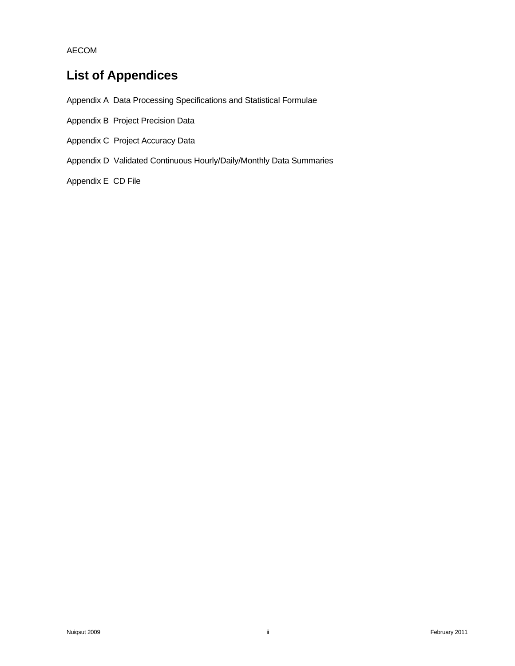# **List of Appendices**

Appendix A Data Processing Specifications and Statistical Formulae

- Appendix B Project Precision Data
- Appendix C Project Accuracy Data
- Appendix D Validated Continuous Hourly/Daily/Monthly Data Summaries

Appendix E CD File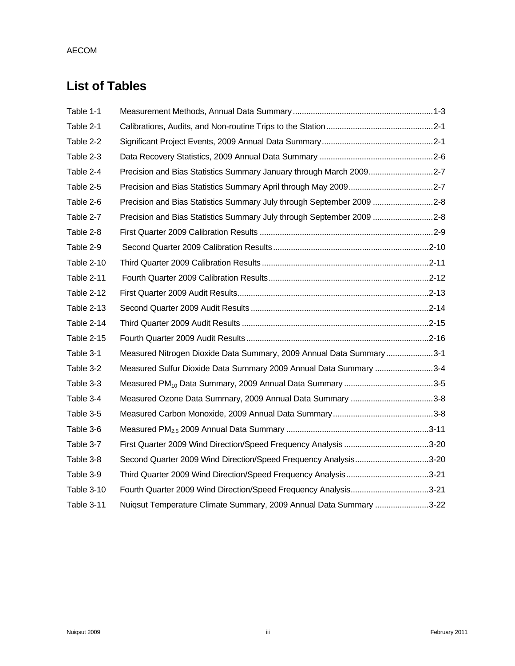# **List of Tables**

| Table 1-1         |                                                                       |  |
|-------------------|-----------------------------------------------------------------------|--|
| Table 2-1         |                                                                       |  |
| Table 2-2         |                                                                       |  |
| Table 2-3         |                                                                       |  |
| Table 2-4         | Precision and Bias Statistics Summary January through March 20092-7   |  |
| Table 2-5         |                                                                       |  |
| Table 2-6         | Precision and Bias Statistics Summary July through September 2009 2-8 |  |
| Table 2-7         | Precision and Bias Statistics Summary July through September 2009 2-8 |  |
| Table 2-8         |                                                                       |  |
| Table 2-9         |                                                                       |  |
| Table 2-10        |                                                                       |  |
| <b>Table 2-11</b> |                                                                       |  |
| Table 2-12        |                                                                       |  |
| Table 2-13        |                                                                       |  |
| Table 2-14        |                                                                       |  |
| <b>Table 2-15</b> |                                                                       |  |
| Table 3-1         | Measured Nitrogen Dioxide Data Summary, 2009 Annual Data Summary 3-1  |  |
| Table 3-2         | Measured Sulfur Dioxide Data Summary 2009 Annual Data Summary 3-4     |  |
| Table 3-3         |                                                                       |  |
| Table 3-4         |                                                                       |  |
| Table 3-5         |                                                                       |  |
| Table 3-6         |                                                                       |  |
| Table 3-7         |                                                                       |  |
| Table 3-8         | Second Quarter 2009 Wind Direction/Speed Frequency Analysis3-20       |  |
| Table 3-9         |                                                                       |  |
| Table 3-10        | Fourth Quarter 2009 Wind Direction/Speed Frequency Analysis3-21       |  |
| Table 3-11        | Nuiqsut Temperature Climate Summary, 2009 Annual Data Summary 3-22    |  |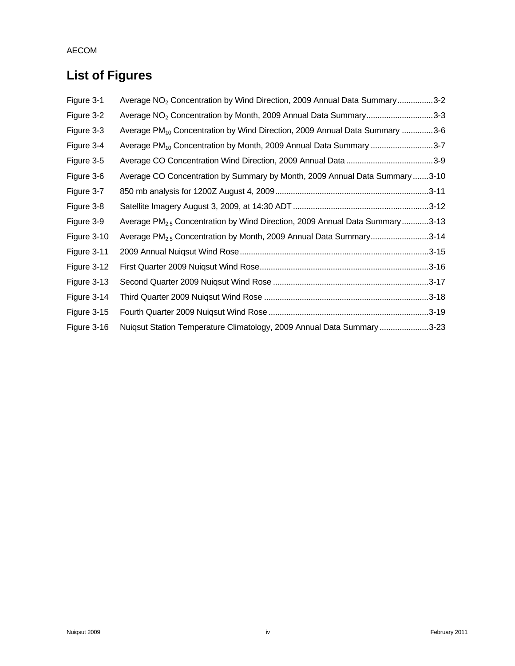# **List of Figures**

| Figure 3-1  | Average NO <sub>2</sub> Concentration by Wind Direction, 2009 Annual Data Summary3-2    |  |
|-------------|-----------------------------------------------------------------------------------------|--|
| Figure 3-2  | Average NO <sub>2</sub> Concentration by Month, 2009 Annual Data Summary3-3             |  |
| Figure 3-3  | Average PM <sub>10</sub> Concentration by Wind Direction, 2009 Annual Data Summary 3-6  |  |
| Figure 3-4  | Average PM <sub>10</sub> Concentration by Month, 2009 Annual Data Summary 3-7           |  |
| Figure 3-5  |                                                                                         |  |
| Figure 3-6  | Average CO Concentration by Summary by Month, 2009 Annual Data Summary3-10              |  |
| Figure 3-7  |                                                                                         |  |
| Figure 3-8  |                                                                                         |  |
| Figure 3-9  | Average PM <sub>2.5</sub> Concentration by Wind Direction, 2009 Annual Data Summary3-13 |  |
| Figure 3-10 | Average PM <sub>2.5</sub> Concentration by Month, 2009 Annual Data Summary3-14          |  |
| Figure 3-11 |                                                                                         |  |
| Figure 3-12 |                                                                                         |  |
| Figure 3-13 |                                                                                         |  |
| Figure 3-14 |                                                                                         |  |
| Figure 3-15 |                                                                                         |  |
| Figure 3-16 | Nuiqsut Station Temperature Climatology, 2009 Annual Data Summary3-23                   |  |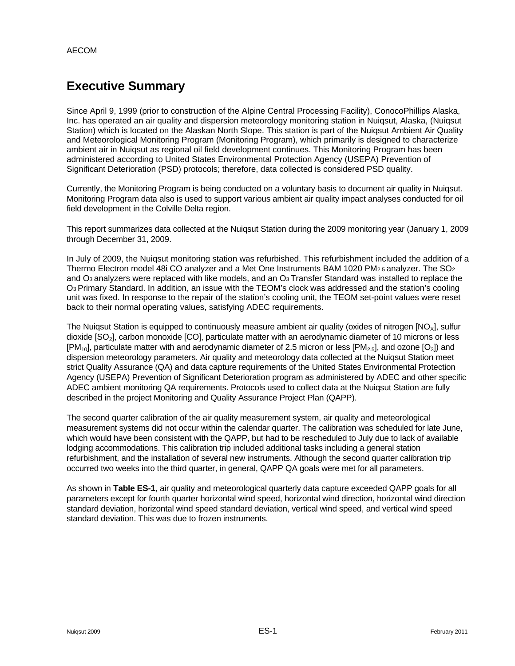# **Executive Summary**

Since April 9, 1999 (prior to construction of the Alpine Central Processing Facility), ConocoPhillips Alaska, Inc. has operated an air quality and dispersion meteorology monitoring station in Nuiqsut, Alaska, (Nuiqsut Station) which is located on the Alaskan North Slope. This station is part of the Nuiqsut Ambient Air Quality and Meteorological Monitoring Program (Monitoring Program), which primarily is designed to characterize ambient air in Nuiqsut as regional oil field development continues. This Monitoring Program has been administered according to United States Environmental Protection Agency (USEPA) Prevention of Significant Deterioration (PSD) protocols; therefore, data collected is considered PSD quality.

Currently, the Monitoring Program is being conducted on a voluntary basis to document air quality in Nuiqsut. Monitoring Program data also is used to support various ambient air quality impact analyses conducted for oil field development in the Colville Delta region.

This report summarizes data collected at the Nuiqsut Station during the 2009 monitoring year (January 1, 2009 through December 31, 2009.

In July of 2009, the Nuiqsut monitoring station was refurbished. This refurbishment included the addition of a Thermo Electron model 48i CO analyzer and a Met One Instruments BAM 1020 PM2.5 analyzer. The SO2 and O<sub>3</sub> analyzers were replaced with like models, and an O<sub>3</sub> Transfer Standard was installed to replace the O3 Primary Standard. In addition, an issue with the TEOM's clock was addressed and the station's cooling unit was fixed. In response to the repair of the station's cooling unit, the TEOM set-point values were reset back to their normal operating values, satisfying ADEC requirements.

The Nuiqsut Station is equipped to continuously measure ambient air quality (oxides of nitrogen  $[NO_\chi]$ , sulfur dioxide [SO<sub>2</sub>], carbon monoxide [CO], particulate matter with an aerodynamic diameter of 10 microns or less  $[PM_{10}]$ , particulate matter with and aerodynamic diameter of 2.5 micron or less  $[PM_{2.5}]$ , and ozone  $[O_3]$ ) and dispersion meteorology parameters. Air quality and meteorology data collected at the Nuiqsut Station meet strict Quality Assurance (QA) and data capture requirements of the United States Environmental Protection Agency (USEPA) Prevention of Significant Deterioration program as administered by ADEC and other specific ADEC ambient monitoring QA requirements. Protocols used to collect data at the Nuiqsut Station are fully described in the project Monitoring and Quality Assurance Project Plan (QAPP).

The second quarter calibration of the air quality measurement system, air quality and meteorological measurement systems did not occur within the calendar quarter. The calibration was scheduled for late June, which would have been consistent with the QAPP, but had to be rescheduled to July due to lack of available lodging accommodations. This calibration trip included additional tasks including a general station refurbishment, and the installation of several new instruments. Although the second quarter calibration trip occurred two weeks into the third quarter, in general, QAPP QA goals were met for all parameters.

As shown in **Table ES-1**, air quality and meteorological quarterly data capture exceeded QAPP goals for all parameters except for fourth quarter horizontal wind speed, horizontal wind direction, horizontal wind direction standard deviation, horizontal wind speed standard deviation, vertical wind speed, and vertical wind speed standard deviation. This was due to frozen instruments.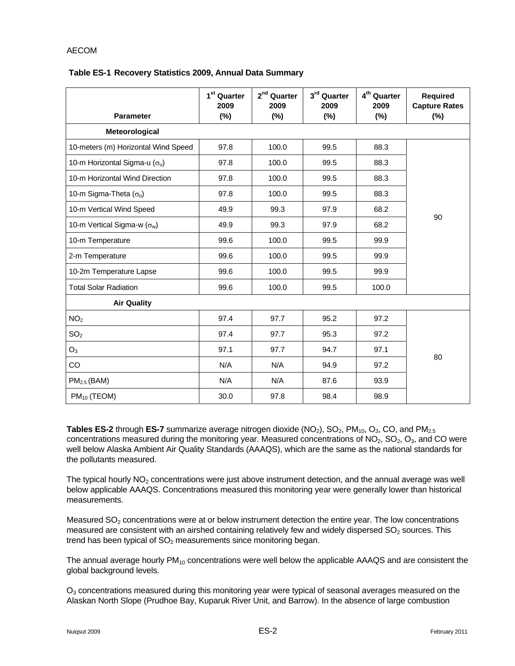#### **Table ES-1 Recovery Statistics 2009, Annual Data Summary**

| <b>Parameter</b>                       | 1 <sup>st</sup> Quarter<br>2009<br>(%) | 2 <sup>nd</sup> Quarter<br>2009<br>(%) | 3rd Quarter<br>2009<br>(%) | 4 <sup>th</sup> Quarter<br>2009<br>$(\%)$ | Required<br><b>Capture Rates</b><br>$(\%)$ |
|----------------------------------------|----------------------------------------|----------------------------------------|----------------------------|-------------------------------------------|--------------------------------------------|
| Meteorological                         |                                        |                                        |                            |                                           |                                            |
| 10-meters (m) Horizontal Wind Speed    | 97.8                                   | 100.0                                  | 99.5                       | 88.3                                      |                                            |
| 10-m Horizontal Sigma-u ( $\sigma_u$ ) | 97.8                                   | 100.0                                  | 99.5                       | 88.3                                      |                                            |
| 10-m Horizontal Wind Direction         | 97.8                                   | 100.0                                  | 99.5                       | 88.3                                      |                                            |
| 10-m Sigma-Theta $(\sigma_{\theta})$   | 97.8                                   | 100.0                                  | 99.5                       | 88.3                                      |                                            |
| 10-m Vertical Wind Speed               | 49.9                                   | 99.3                                   | 97.9                       | 68.2                                      | 90                                         |
| 10-m Vertical Sigma-w $(\sigma_w)$     | 49.9                                   | 99.3                                   | 97.9                       | 68.2                                      |                                            |
| 10-m Temperature                       | 99.6                                   | 100.0                                  | 99.5                       | 99.9                                      |                                            |
| 2-m Temperature                        | 99.6                                   | 100.0                                  | 99.5                       | 99.9                                      |                                            |
| 10-2m Temperature Lapse                | 99.6                                   | 100.0                                  | 99.5                       | 99.9                                      |                                            |
| <b>Total Solar Radiation</b>           | 99.6                                   | 100.0                                  | 99.5                       | 100.0                                     |                                            |
| <b>Air Quality</b>                     |                                        |                                        |                            |                                           |                                            |
| NO <sub>2</sub>                        | 97.4                                   | 97.7                                   | 95.2                       | 97.2                                      |                                            |
| SO <sub>2</sub>                        | 97.4                                   | 97.7                                   | 95.3                       | 97.2                                      |                                            |
| $O_3$                                  | 97.1                                   | 97.7                                   | 94.7                       | 97.1                                      |                                            |
| CO                                     | N/A                                    | N/A                                    | 94.9                       | 97.2                                      | 80                                         |
| PM <sub>2.5</sub> (BAM)                | N/A                                    | N/A                                    | 87.6                       | 93.9                                      |                                            |
| $PM_{10}$ (TEOM)                       | 30.0                                   | 97.8                                   | 98.4                       | 98.9                                      |                                            |

Tables ES-2 through ES-7 summarize average nitrogen dioxide (NO<sub>2</sub>), SO<sub>2</sub>, PM<sub>10</sub>, O<sub>3</sub>, CO, and PM<sub>2.5</sub> concentrations measured during the monitoring year. Measured concentrations of  $NO<sub>2</sub>$ ,  $SO<sub>2</sub>$ ,  $O<sub>3</sub>$ , and CO were well below Alaska Ambient Air Quality Standards (AAAQS), which are the same as the national standards for the pollutants measured.

The typical hourly  $NO<sub>2</sub>$  concentrations were just above instrument detection, and the annual average was well below applicable AAAQS. Concentrations measured this monitoring year were generally lower than historical measurements.

Measured  $SO<sub>2</sub>$  concentrations were at or below instrument detection the entire year. The low concentrations measured are consistent with an airshed containing relatively few and widely dispersed  $SO<sub>2</sub>$  sources. This trend has been typical of  $SO<sub>2</sub>$  measurements since monitoring began.

The annual average hourly  $PM_{10}$  concentrations were well below the applicable AAAQS and are consistent the global background levels.

 $O<sub>3</sub>$  concentrations measured during this monitoring year were typical of seasonal averages measured on the Alaskan North Slope (Prudhoe Bay, Kuparuk River Unit, and Barrow). In the absence of large combustion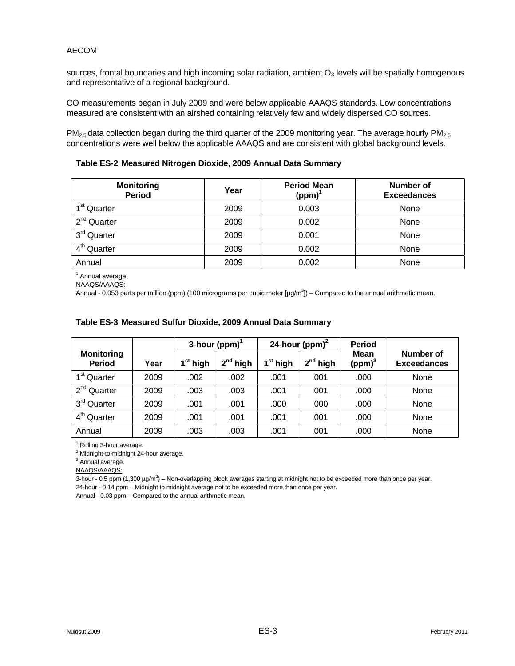sources, frontal boundaries and high incoming solar radiation, ambient  $O<sub>3</sub>$  levels will be spatially homogenous and representative of a regional background.

CO measurements began in July 2009 and were below applicable AAAQS standards. Low concentrations measured are consistent with an airshed containing relatively few and widely dispersed CO sources.

 $PM<sub>2.5</sub>$  data collection began during the third quarter of the 2009 monitoring year. The average hourly PM<sub>2.5</sub> concentrations were well below the applicable AAAQS and are consistent with global background levels.

**Table ES-2 Measured Nitrogen Dioxide, 2009 Annual Data Summary** 

| <b>Monitoring</b><br><b>Period</b> | Year | <b>Period Mean</b><br>$(ppm)$ <sup>1</sup> | <b>Number of</b><br><b>Exceedances</b> |
|------------------------------------|------|--------------------------------------------|----------------------------------------|
| 1 <sup>st</sup> Quarter            | 2009 | 0.003                                      | None                                   |
| 2 <sup>nd</sup> Quarter            | 2009 | 0.002                                      | None                                   |
| 3 <sup>rd</sup> Quarter            | 2009 | 0.001                                      | None                                   |
| $4^{\sf th}$<br>Quarter            | 2009 | 0.002                                      | None                                   |
| Annual                             | 2009 | 0.002                                      | None                                   |

<sup>1</sup> Annual average.

NAAQS/AAAQS:

Annual - 0.053 parts per million (ppm) (100 micrograms per cubic meter [ $\mu g/m^3$ ]) – Compared to the annual arithmetic mean.

|                                    |      | 3-hour (ppm) $^1$    |                                       | 24-hour (ppm) $2$ |               | <b>Period</b>                     |                                 |
|------------------------------------|------|----------------------|---------------------------------------|-------------------|---------------|-----------------------------------|---------------------------------|
| <b>Monitoring</b><br><b>Period</b> | Year | 1 <sup>st</sup> high | $2^{nd}$ high<br>1 <sup>st</sup> high |                   | $2^{nd}$ high | <b>Mean</b><br>(ppm) <sup>3</sup> | Number of<br><b>Exceedances</b> |
| 1 <sup>st</sup> Quarter            | 2009 | .002                 | .002                                  | .001              | .001          | .000                              | None                            |
| 2 <sup>nd</sup> Quarter            | 2009 | .003                 | .003                                  | .001              | .001          | .000                              | None                            |
| 3 <sup>rd</sup> Quarter            | 2009 | .001                 | .001                                  | .000              | .000          | .000                              | None                            |
| 4 <sup>th</sup> Quarter            | 2009 | .001                 | .001                                  | .001              | .001          | .000                              | None                            |
| Annual                             | 2009 | .003                 | .003                                  | .001              | .001          | .000                              | None                            |

#### **Table ES-3 Measured Sulfur Dioxide, 2009 Annual Data Summary**

<sup>1</sup> Rolling 3-hour average.

<sup>2</sup> Midnight-to-midnight 24-hour average.

<sup>3</sup> Annual average.

NAAQS/AAAQS:

3-hour - 0.5 ppm (1,300  $\mu$ g/m<sup>3</sup>) – Non-overlapping block averages starting at midnight not to be exceeded more than once per year. 24-hour - 0.14 ppm – Midnight to midnight average not to be exceeded more than once per year.

Annual - 0.03 ppm – Compared to the annual arithmetic mean.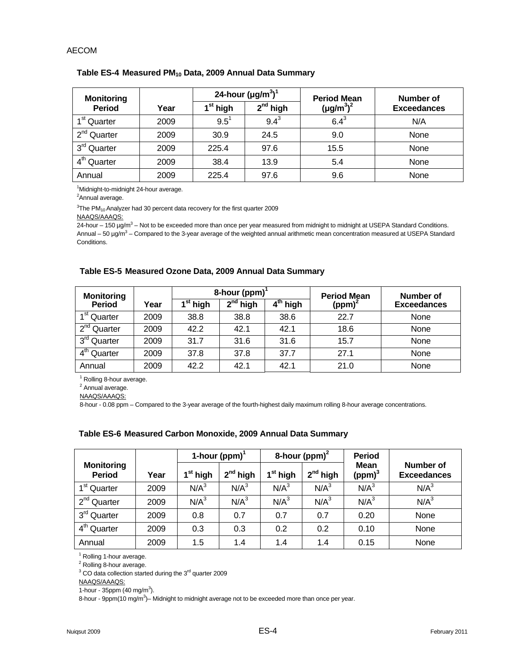| <b>Monitoring</b>          |      |                      | 24-hour $(\mu g/m^3)^1$ | <b>Period Mean</b> | Number of          |  |
|----------------------------|------|----------------------|-------------------------|--------------------|--------------------|--|
| <b>Period</b>              | Year | 1 <sup>st</sup> high | $2^{nd}$ high           | $(\mu g/m^3)^2$    | <b>Exceedances</b> |  |
| 1 <sup>st</sup> Quarter    | 2009 | $9.5^1$              | $9.4^{3}$               | $6.4^{3}$          | N/A                |  |
| 2 <sup>nd</sup> Quarter    | 2009 | 30.9                 | 24.5                    | 9.0                | None               |  |
| 3 <sup>rd</sup> Quarter    | 2009 | 225.4                | 97.6                    | 15.5               | None               |  |
| $4^{\text{th}}$<br>Quarter | 2009 | 38.4                 | 13.9                    | 5.4                | None               |  |
| Annual                     | 2009 | 225.4                | 97.6                    | 9.6                | None               |  |

#### Table ES-4 Measured PM<sub>10</sub> Data, 2009 Annual Data Summary

<sup>1</sup>Midnight-to-midnight 24-hour average.

<sup>2</sup>Annual average.

 $3$ The PM<sub>10</sub> Analyzer had 30 percent data recovery for the first quarter 2009

NAAQS/AAAQS:

24-hour – 150 µg/m<sup>3</sup> – Not to be exceeded more than once per year measured from midnight to midnight at USEPA Standard Conditions. Annual – 50 µg/m<sup>3</sup> – Compared to the 3-year average of the weighted annual arithmetic mean concentration measured at USEPA Standard Conditions.

#### **Table ES-5 Measured Ozone Data, 2009 Annual Data Summary**

| <b>Monitoring</b>       |      |                      | 8-hour (ppm)                                               | <b>Period Mean</b> | Number of |                    |
|-------------------------|------|----------------------|------------------------------------------------------------|--------------------|-----------|--------------------|
| <b>Period</b>           | Year | 1 <sup>st</sup> high | $\overline{\mathbf{2}}^{\mathsf{nd}}$ high<br>, th<br>high |                    | $(ppm)^2$ | <b>Exceedances</b> |
| 1 <sup>st</sup> Quarter | 2009 | 38.8                 | 38.8                                                       | 38.6               | 22.7      | None               |
| 2 <sup>nd</sup> Quarter | 2009 | 42.2                 | 42.1                                                       | 42.1               | 18.6      | None               |
| 3 <sup>rd</sup> Quarter | 2009 | 31.7                 | 31.6                                                       | 31.6               | 15.7      | None               |
| 4 <sup>th</sup> Quarter | 2009 | 37.8                 | 37.8                                                       | 37.7               | 27.1      | None               |
| Annual                  | 2009 | 42.2                 | 42.1                                                       | 42.1               | 21.0      | None               |

<sup>1</sup> Rolling 8-hour average.

<sup>2</sup> Annual average.

NAAQS/AAAQS:

8-hour - 0.08 ppm – Compared to the 3-year average of the fourth-highest daily maximum rolling 8-hour average concentrations.

|                                    |      | 1-hour (ppm) $^1$    |                  |                      | 8-hour $(ppm)^2$ | <b>Period</b>                     |                                 |
|------------------------------------|------|----------------------|------------------|----------------------|------------------|-----------------------------------|---------------------------------|
| <b>Monitoring</b><br><b>Period</b> | Year | 1 <sup>st</sup> high | $2^{nd}$ high    | 1 <sup>st</sup> high | $2^{nd}$ high    | <b>Mean</b><br>(ppm) <sup>3</sup> | Number of<br><b>Exceedances</b> |
| 1 <sup>st</sup> Quarter            | 2009 | N/A <sup>3</sup>     | N/A <sup>3</sup> | N/A <sup>3</sup>     | N/A <sup>3</sup> | N/A <sup>3</sup>                  | N/A <sup>3</sup>                |
| 2 <sup>nd</sup> Quarter            | 2009 | N/A <sup>3</sup>     | N/A <sup>3</sup> | N/A <sup>3</sup>     | N/A <sup>3</sup> | N/A <sup>3</sup>                  | N/A <sup>3</sup>                |
| 3 <sup>rd</sup> Quarter            | 2009 | 0.8                  | 0.7              | 0.7                  | 0.7              | 0.20                              | None                            |
| 4 <sup>th</sup><br>Quarter         | 2009 | 0.3                  | 0.3              | 0.2                  | 0.2              | 0.10                              | None                            |
| Annual                             | 2009 | 1.5                  | 1.4              | 1.4                  | 1.4              | 0.15                              | None                            |

#### **Table ES-6 Measured Carbon Monoxide, 2009 Annual Data Summary**

<sup>1</sup> Rolling 1-hour average.

<sup>2</sup> Rolling 8-hour average.

 $3$  CO data collection started during the  $3<sup>rd</sup>$  quarter 2009

NAAQS/AAAQS:

1-hour - 35ppm (40 mg/m<sup>3</sup>).

8-hour - 9ppm(10 mg/m<sup>3</sup>)– Midnight to midnight average not to be exceeded more than once per year.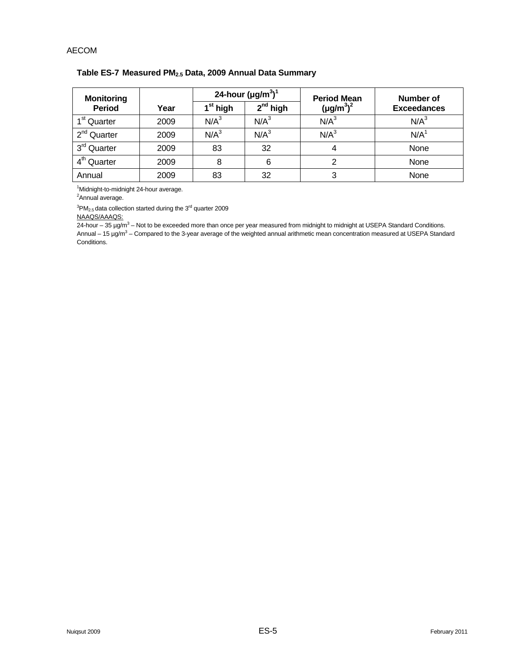| <b>Monitoring</b>       |      |                      | 24-hour $(\mu g/m^3)^1$ | <b>Period Mean</b> | Number of<br><b>Exceedances</b> |  |
|-------------------------|------|----------------------|-------------------------|--------------------|---------------------------------|--|
| <b>Period</b>           | Year | 1 <sup>st</sup> high | $2nd$ high              | $(\mu g/m^3)^2$    |                                 |  |
| 1 <sup>st</sup> Quarter | 2009 | $N/A^3$              | $N/A^3$                 | N/A <sup>3</sup>   | N/A <sup>3</sup>                |  |
| 2 <sup>nd</sup> Quarter | 2009 | N/A <sup>3</sup>     | N/A <sup>3</sup>        | N/A <sup>3</sup>   | N/A <sup>1</sup>                |  |
| 3 <sup>rd</sup> Quarter | 2009 | 83                   | 32                      | 4                  | None                            |  |
| 4 <sup>th</sup> Quarter | 2009 | 8                    | 6                       | 2                  | None                            |  |
| Annual                  | 2009 | 83                   | 32                      | 3                  | None                            |  |

# **Table ES-7 Measured PM2.5 Data, 2009 Annual Data Summary**

<sup>1</sup>Midnight-to-midnight 24-hour average.

<sup>2</sup>Annual average.

 $3$ PM<sub>2.5</sub> data collection started during the 3<sup>rd</sup> quarter 2009

NAAQS/AAAQS:

24-hour – 35 µg/m<sup>3</sup> – Not to be exceeded more than once per year measured from midnight to midnight at USEPA Standard Conditions. Annual – 15 µg/m<sup>3</sup> – Compared to the 3-year average of the weighted annual arithmetic mean concentration measured at USEPA Standard Conditions.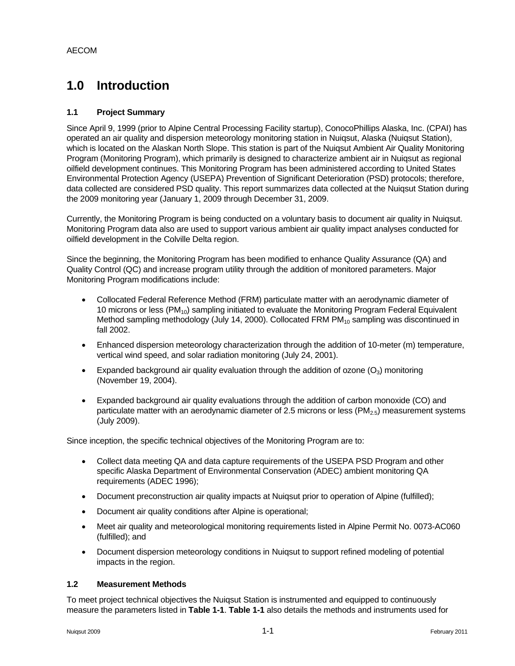# **1.0 Introduction**

## **1.1 Project Summary**

Since April 9, 1999 (prior to Alpine Central Processing Facility startup), ConocoPhillips Alaska, Inc. (CPAI) has operated an air quality and dispersion meteorology monitoring station in Nuiqsut, Alaska (Nuiqsut Station), which is located on the Alaskan North Slope. This station is part of the Nuiqsut Ambient Air Quality Monitoring Program (Monitoring Program), which primarily is designed to characterize ambient air in Nuiqsut as regional oilfield development continues. This Monitoring Program has been administered according to United States Environmental Protection Agency (USEPA) Prevention of Significant Deterioration (PSD) protocols; therefore, data collected are considered PSD quality. This report summarizes data collected at the Nuiqsut Station during the 2009 monitoring year (January 1, 2009 through December 31, 2009.

Currently, the Monitoring Program is being conducted on a voluntary basis to document air quality in Nuiqsut. Monitoring Program data also are used to support various ambient air quality impact analyses conducted for oilfield development in the Colville Delta region.

Since the beginning, the Monitoring Program has been modified to enhance Quality Assurance (QA) and Quality Control (QC) and increase program utility through the addition of monitored parameters. Major Monitoring Program modifications include:

- Collocated Federal Reference Method (FRM) particulate matter with an aerodynamic diameter of 10 microns or less (PM<sub>10</sub>) sampling initiated to evaluate the Monitoring Program Federal Equivalent Method sampling methodology (July 14, 2000). Collocated FRM  $PM_{10}$  sampling was discontinued in fall 2002.
- Enhanced dispersion meteorology characterization through the addition of 10-meter (m) temperature, vertical wind speed, and solar radiation monitoring (July 24, 2001).
- Expanded background air quality evaluation through the addition of ozone  $(O_3)$  monitoring (November 19, 2004).
- Expanded background air quality evaluations through the addition of carbon monoxide (CO) and particulate matter with an aerodynamic diameter of 2.5 microns or less  $(PM_{2.5})$  measurement systems (July 2009).

Since inception, the specific technical objectives of the Monitoring Program are to:

- Collect data meeting QA and data capture requirements of the USEPA PSD Program and other specific Alaska Department of Environmental Conservation (ADEC) ambient monitoring QA requirements (ADEC 1996);
- Document preconstruction air quality impacts at Nuiqsut prior to operation of Alpine (fulfilled);
- Document air quality conditions after Alpine is operational;
- Meet air quality and meteorological monitoring requirements listed in Alpine Permit No. 0073-AC060 (fulfilled); and
- Document dispersion meteorology conditions in Nuiqsut to support refined modeling of potential impacts in the region.

#### **1.2 Measurement Methods**

To meet project technical objectives the Nuiqsut Station is instrumented and equipped to continuously measure the parameters listed in **Table 1-1**. **Table 1-1** also details the methods and instruments used for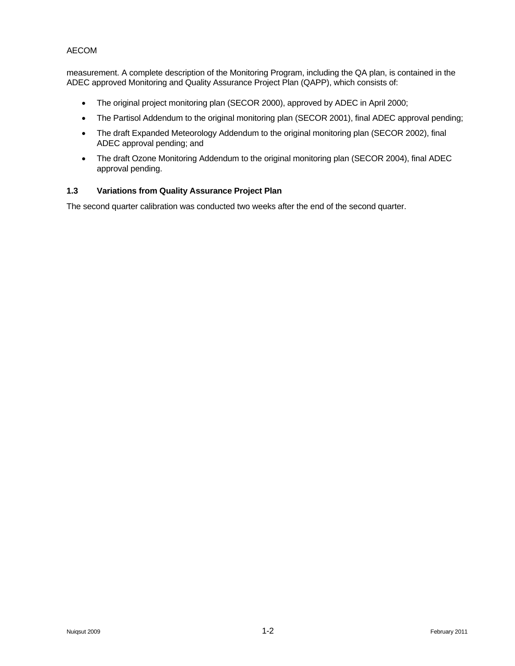measurement. A complete description of the Monitoring Program, including the QA plan, is contained in the ADEC approved Monitoring and Quality Assurance Project Plan (QAPP), which consists of:

- The original project monitoring plan (SECOR 2000), approved by ADEC in April 2000;
- The Partisol Addendum to the original monitoring plan (SECOR 2001), final ADEC approval pending;
- The draft Expanded Meteorology Addendum to the original monitoring plan (SECOR 2002), final ADEC approval pending; and
- The draft Ozone Monitoring Addendum to the original monitoring plan (SECOR 2004), final ADEC approval pending.

# **1.3 Variations from Quality Assurance Project Plan**

The second quarter calibration was conducted two weeks after the end of the second quarter.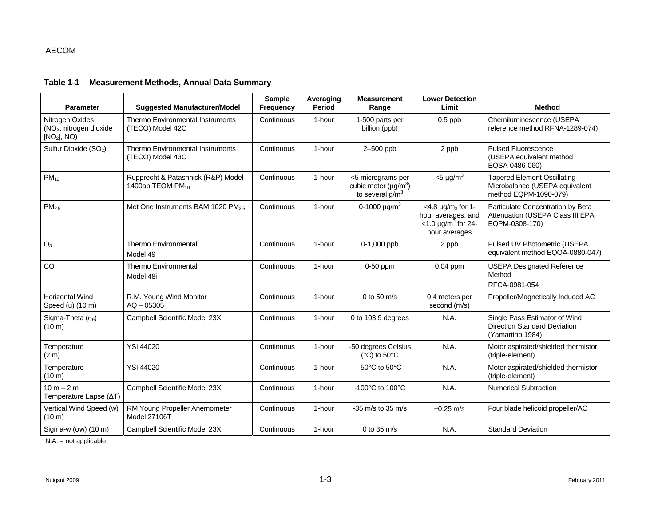#### **Table 1-1 Measurement Methods, Annual Data Summary**

| <b>Parameter</b>                                                                  | <b>Suggested Manufacturer/Model</b>                                | <b>Sample</b><br>Frequency | Averaging<br>Period | <b>Measurement</b><br>Range                                                      | <b>Lower Detection</b><br>Limit                                                                              | <b>Method</b>                                                                                 |
|-----------------------------------------------------------------------------------|--------------------------------------------------------------------|----------------------------|---------------------|----------------------------------------------------------------------------------|--------------------------------------------------------------------------------------------------------------|-----------------------------------------------------------------------------------------------|
| Nitrogen Oxides<br>(NO <sub>x</sub> , nitrogen dioxide<br>[NO <sub>2</sub> ], NO) | Thermo Environmental Instruments<br>(TECO) Model 42C               | Continuous                 | 1-hour              | 1-500 parts per<br>billion (ppb)                                                 | $0.5$ ppb                                                                                                    | Chemiluminescence (USEPA<br>reference method RFNA-1289-074)                                   |
| Sulfur Dioxide (SO <sub>2</sub> )                                                 | Thermo Environmental Instruments<br>(TECO) Model 43C               | Continuous                 | 1-hour              | 2-500 ppb                                                                        | 2 ppb                                                                                                        | <b>Pulsed Fluorescence</b><br>(USEPA equivalent method<br>EQSA-0486-060)                      |
| $PM_{10}$                                                                         | Rupprecht & Patashnick (R&P) Model<br>1400ab TEOM PM <sub>10</sub> | Continuous                 | 1-hour              | <5 micrograms per<br>cubic meter ( $\mu$ g/m <sup>3</sup> )<br>to several $g/m3$ | $<$ 5 µg/m <sup>3</sup>                                                                                      | <b>Tapered Element Oscillating</b><br>Microbalance (USEPA equivalent<br>method EQPM-1090-079) |
| PM <sub>2.5</sub>                                                                 | Met One Instruments BAM 1020 PM <sub>2.5</sub>                     | Continuous                 | 1-hour              | 0-1000 $\mu$ g/m <sup>3</sup>                                                    | $<$ 4.8 µg/m <sub>3</sub> for 1-<br>hour averages; and<br>$<$ 1.0 µg/m <sup>3</sup> for 24-<br>hour averages | Particulate Concentration by Beta<br>Attenuation (USEPA Class III EPA<br>EQPM-0308-170)       |
| $O_3$                                                                             | <b>Thermo Environmental</b><br>Model 49                            | Continuous                 | 1-hour              | 0-1,000 ppb                                                                      | 2 ppb                                                                                                        | Pulsed UV Photometric (USEPA<br>equivalent method EQOA-0880-047)                              |
| CO                                                                                | Thermo Environmental<br>Model 48i                                  | Continuous                 | 1-hour              | $0-50$ ppm                                                                       | $0.04$ ppm                                                                                                   | <b>USEPA Designated Reference</b><br>Method<br>RFCA-0981-054                                  |
| <b>Horizontal Wind</b><br>Speed (u) (10 m)                                        | R.M. Young Wind Monitor<br>$AQ - 05305$                            | Continuous                 | 1-hour              | 0 to 50 $m/s$                                                                    | 0.4 meters per<br>second (m/s)                                                                               | Propeller/Magnetically Induced AC                                                             |
| Sigma-Theta $(\sigma_{\theta})$<br>$(10 \text{ m})$                               | Campbell Scientific Model 23X                                      | Continuous                 | 1-hour              | 0 to 103.9 degrees                                                               | N.A.                                                                                                         | Single Pass Estimator of Wind<br>Direction Standard Deviation<br>(Yamartino 1984)             |
| Temperature<br>(2 <sub>m</sub> )                                                  | <b>YSI 44020</b>                                                   | Continuous                 | 1-hour              | -50 degrees Celsius<br>( $^{\circ}$ C) to 50 $^{\circ}$ C                        | N.A.                                                                                                         | Motor aspirated/shielded thermistor<br>(triple-element)                                       |
| Temperature<br>$(10 \text{ m})$                                                   | <b>YSI 44020</b>                                                   | Continuous                 | 1-hour              | -50 $^{\circ}$ C to 50 $^{\circ}$ C                                              | N.A.                                                                                                         | Motor aspirated/shielded thermistor<br>(triple-element)                                       |
| $10 m - 2 m$<br>Temperature Lapse (AT)                                            | Campbell Scientific Model 23X                                      | Continuous                 | 1-hour              | -100°C to 100°C                                                                  | N.A.                                                                                                         | <b>Numerical Subtraction</b>                                                                  |
| Vertical Wind Speed (w)<br>$(10 \text{ m})$                                       | RM Young Propeller Anemometer<br><b>Model 27106T</b>               | Continuous                 | 1-hour              | $-35$ m/s to 35 m/s                                                              | $\pm 0.25$ m/s                                                                                               | Four blade helicoid propeller/AC                                                              |
| Sigma-w $($ ow $)$ $(10 \text{ m})$                                               | Campbell Scientific Model 23X                                      | Continuous                 | 1-hour              | 0 to $35 \text{ m/s}$                                                            | N.A.                                                                                                         | <b>Standard Deviation</b>                                                                     |

N.A. = not applicable.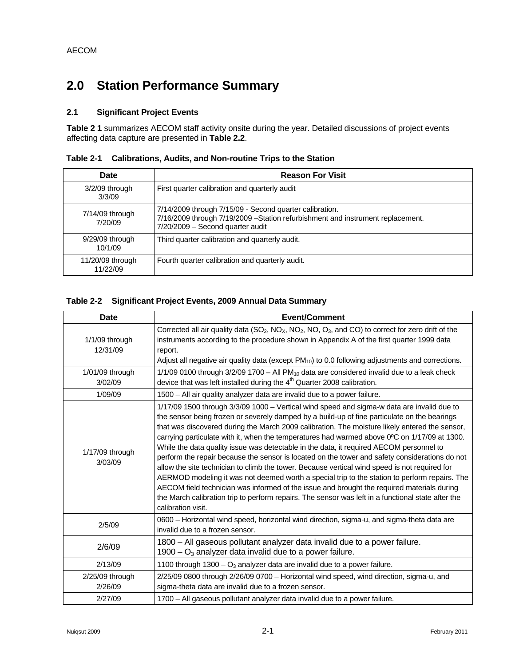# **2.0 Station Performance Summary**

# **2.1 Significant Project Events**

**Table 2 1** summarizes AECOM staff activity onsite during the year. Detailed discussions of project events affecting data capture are presented in **Table 2.2**.

| <b>Date</b>                  | <b>Reason For Visit</b>                                                                                                                                                        |
|------------------------------|--------------------------------------------------------------------------------------------------------------------------------------------------------------------------------|
| $3/2/09$ through<br>3/3/09   | First quarter calibration and quarterly audit                                                                                                                                  |
| $7/14/09$ through<br>7/20/09 | 7/14/2009 through 7/15/09 - Second quarter calibration.<br>7/16/2009 through 7/19/2009 - Station refurbishment and instrument replacement.<br>7/20/2009 - Second quarter audit |
| $9/29/09$ through<br>10/1/09 | Third quarter calibration and quarterly audit.                                                                                                                                 |
| 11/20/09 through<br>11/22/09 | Fourth quarter calibration and quarterly audit.                                                                                                                                |

**Table 2-1 Calibrations, Audits, and Non-routine Trips to the Station**

## **Table 2-2 Significant Project Events, 2009 Annual Data Summary**

| <b>Date</b>                  | <b>Event/Comment</b>                                                                                                                                                                                                                                                                                                                                                                                                                                                                                                                                                                                                                                                                                                                                                                                                                                                                                                                                                                                                  |
|------------------------------|-----------------------------------------------------------------------------------------------------------------------------------------------------------------------------------------------------------------------------------------------------------------------------------------------------------------------------------------------------------------------------------------------------------------------------------------------------------------------------------------------------------------------------------------------------------------------------------------------------------------------------------------------------------------------------------------------------------------------------------------------------------------------------------------------------------------------------------------------------------------------------------------------------------------------------------------------------------------------------------------------------------------------|
| $1/1/09$ through<br>12/31/09 | Corrected all air quality data ( $SO_2$ , $NO_2$ , $NO_2$ , $NO_2$ , $OO_3$ , and CO) to correct for zero drift of the<br>instruments according to the procedure shown in Appendix A of the first quarter 1999 data<br>report.<br>Adjust all negative air quality data (except $PM_{10}$ ) to 0.0 following adjustments and corrections.                                                                                                                                                                                                                                                                                                                                                                                                                                                                                                                                                                                                                                                                              |
| 1/01/09 through<br>3/02/09   | $1/1/09$ 0100 through $3/2/09$ 1700 – All PM <sub>10</sub> data are considered invalid due to a leak check<br>device that was left installed during the $4th$ Quarter 2008 calibration.                                                                                                                                                                                                                                                                                                                                                                                                                                                                                                                                                                                                                                                                                                                                                                                                                               |
| 1/09/09                      | 1500 - All air quality analyzer data are invalid due to a power failure.                                                                                                                                                                                                                                                                                                                                                                                                                                                                                                                                                                                                                                                                                                                                                                                                                                                                                                                                              |
| 1/17/09 through<br>3/03/09   | 1/17/09 1500 through 3/3/09 1000 - Vertical wind speed and sigma-w data are invalid due to<br>the sensor being frozen or severely damped by a build-up of fine particulate on the bearings<br>that was discovered during the March 2009 calibration. The moisture likely entered the sensor,<br>carrying particulate with it, when the temperatures had warmed above 0°C on 1/17/09 at 1300.<br>While the data quality issue was detectable in the data, it required AECOM personnel to<br>perform the repair because the sensor is located on the tower and safety considerations do not<br>allow the site technician to climb the tower. Because vertical wind speed is not required for<br>AERMOD modeling it was not deemed worth a special trip to the station to perform repairs. The<br>AECOM field technician was informed of the issue and brought the required materials during<br>the March calibration trip to perform repairs. The sensor was left in a functional state after the<br>calibration visit. |
| 2/5/09                       | 0600 - Horizontal wind speed, horizontal wind direction, sigma-u, and sigma-theta data are<br>invalid due to a frozen sensor.                                                                                                                                                                                                                                                                                                                                                                                                                                                                                                                                                                                                                                                                                                                                                                                                                                                                                         |
| 2/6/09                       | 1800 – All gaseous pollutant analyzer data invalid due to a power failure.<br>1900 – $O_3$ analyzer data invalid due to a power failure.                                                                                                                                                                                                                                                                                                                                                                                                                                                                                                                                                                                                                                                                                                                                                                                                                                                                              |
| 2/13/09                      | 1100 through 1300 - $O_3$ analyzer data are invalid due to a power failure.                                                                                                                                                                                                                                                                                                                                                                                                                                                                                                                                                                                                                                                                                                                                                                                                                                                                                                                                           |
| 2/25/09 through<br>2/26/09   | 2/25/09 0800 through 2/26/09 0700 - Horizontal wind speed, wind direction, sigma-u, and<br>sigma-theta data are invalid due to a frozen sensor.                                                                                                                                                                                                                                                                                                                                                                                                                                                                                                                                                                                                                                                                                                                                                                                                                                                                       |
| 2/27/09                      | 1700 - All gaseous pollutant analyzer data invalid due to a power failure.                                                                                                                                                                                                                                                                                                                                                                                                                                                                                                                                                                                                                                                                                                                                                                                                                                                                                                                                            |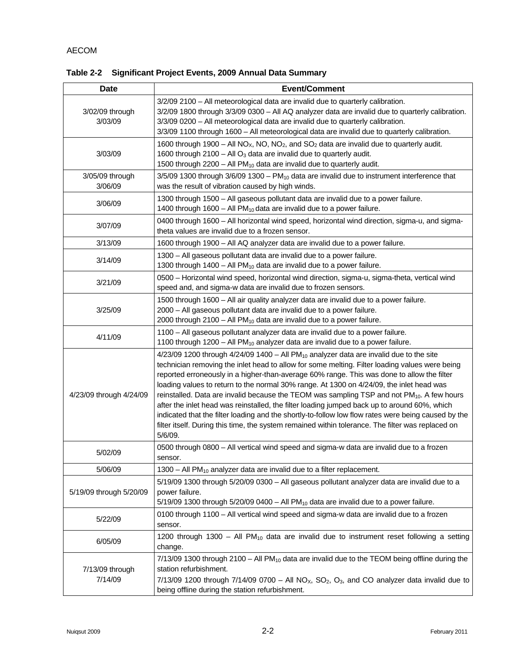|  | Table 2-2 Significant Project Events, 2009 Annual Data Summary |
|--|----------------------------------------------------------------|
|--|----------------------------------------------------------------|

| <b>Date</b>                | <b>Event/Comment</b>                                                                                                                                                                                                                                                                                                                                                                                                                                                                                                                                                                                                                                                                                                                                                                                                                |
|----------------------------|-------------------------------------------------------------------------------------------------------------------------------------------------------------------------------------------------------------------------------------------------------------------------------------------------------------------------------------------------------------------------------------------------------------------------------------------------------------------------------------------------------------------------------------------------------------------------------------------------------------------------------------------------------------------------------------------------------------------------------------------------------------------------------------------------------------------------------------|
| 3/02/09 through<br>3/03/09 | 3/2/09 2100 - All meteorological data are invalid due to quarterly calibration.<br>3/2/09 1800 through 3/3/09 0300 - All AQ analyzer data are invalid due to quarterly calibration.<br>3/3/09 0200 - All meteorological data are invalid due to quarterly calibration.<br>3/3/09 1100 through 1600 - All meteorological data are invalid due to quarterly calibration.                                                                                                                                                                                                                                                                                                                                                                                                                                                              |
| 3/03/09                    | 1600 through 1900 – All NO <sub>x</sub> , NO, NO <sub>2</sub> , and SO <sub>2</sub> data are invalid due to quarterly audit.<br>1600 through 2100 - All $O_3$ data are invalid due to quarterly audit.<br>1500 through 2200 - All PM <sub>10</sub> data are invalid due to quarterly audit.                                                                                                                                                                                                                                                                                                                                                                                                                                                                                                                                         |
| 3/05/09 through<br>3/06/09 | $3/5/09$ 1300 through $3/6/09$ 1300 - PM <sub>10</sub> data are invalid due to instrument interference that<br>was the result of vibration caused by high winds.                                                                                                                                                                                                                                                                                                                                                                                                                                                                                                                                                                                                                                                                    |
| 3/06/09                    | 1300 through 1500 - All gaseous pollutant data are invalid due to a power failure.<br>1400 through 1600 - All $PM_{10}$ data are invalid due to a power failure.                                                                                                                                                                                                                                                                                                                                                                                                                                                                                                                                                                                                                                                                    |
| 3/07/09                    | 0400 through 1600 - All horizontal wind speed, horizontal wind direction, sigma-u, and sigma-<br>theta values are invalid due to a frozen sensor.                                                                                                                                                                                                                                                                                                                                                                                                                                                                                                                                                                                                                                                                                   |
| 3/13/09                    | 1600 through 1900 – All AQ analyzer data are invalid due to a power failure.                                                                                                                                                                                                                                                                                                                                                                                                                                                                                                                                                                                                                                                                                                                                                        |
| 3/14/09                    | 1300 - All gaseous pollutant data are invalid due to a power failure.<br>1300 through 1400 - All $PM_{10}$ data are invalid due to a power failure.                                                                                                                                                                                                                                                                                                                                                                                                                                                                                                                                                                                                                                                                                 |
| 3/21/09                    | 0500 - Horizontal wind speed, horizontal wind direction, sigma-u, sigma-theta, vertical wind<br>speed and, and sigma-w data are invalid due to frozen sensors.                                                                                                                                                                                                                                                                                                                                                                                                                                                                                                                                                                                                                                                                      |
| 3/25/09                    | 1500 through 1600 - All air quality analyzer data are invalid due to a power failure.<br>2000 - All gaseous pollutant data are invalid due to a power failure.<br>2000 through 2100 - All $PM_{10}$ data are invalid due to a power failure.                                                                                                                                                                                                                                                                                                                                                                                                                                                                                                                                                                                        |
| 4/11/09                    | 1100 - All gaseous pollutant analyzer data are invalid due to a power failure.<br>1100 through 1200 - All PM <sub>10</sub> analyzer data are invalid due to a power failure.                                                                                                                                                                                                                                                                                                                                                                                                                                                                                                                                                                                                                                                        |
| 4/23/09 through 4/24/09    | $4/23/09$ 1200 through $4/24/09$ 1400 - All PM <sub>10</sub> analyzer data are invalid due to the site<br>technician removing the inlet head to allow for some melting. Filter loading values were being<br>reported erroneously in a higher-than-average 60% range. This was done to allow the filter<br>loading values to return to the normal 30% range. At 1300 on 4/24/09, the inlet head was<br>reinstalled. Data are invalid because the TEOM was sampling TSP and not PM <sub>10</sub> . A few hours<br>after the inlet head was reinstalled, the filter loading jumped back up to around 60%, which<br>indicated that the filter loading and the shortly-to-follow low flow rates were being caused by the<br>filter itself. During this time, the system remained within tolerance. The filter was replaced on<br>5/6/09. |
| 5/02/09                    | 0500 through 0800 - All vertical wind speed and sigma-w data are invalid due to a frozen<br>sensor.                                                                                                                                                                                                                                                                                                                                                                                                                                                                                                                                                                                                                                                                                                                                 |
| 5/06/09                    | 1300 – All PM <sub>10</sub> analyzer data are invalid due to a filter replacement.                                                                                                                                                                                                                                                                                                                                                                                                                                                                                                                                                                                                                                                                                                                                                  |
| 5/19/09 through 5/20/09    | 5/19/09 1300 through 5/20/09 0300 - All gaseous pollutant analyzer data are invalid due to a<br>power failure.<br>$5/19/09$ 1300 through $5/20/09$ 0400 - All PM <sub>10</sub> data are invalid due to a power failure.                                                                                                                                                                                                                                                                                                                                                                                                                                                                                                                                                                                                             |
| 5/22/09                    | 0100 through 1100 - All vertical wind speed and sigma-w data are invalid due to a frozen<br>sensor.                                                                                                                                                                                                                                                                                                                                                                                                                                                                                                                                                                                                                                                                                                                                 |
| 6/05/09                    | 1200 through 1300 - All PM <sub>10</sub> data are invalid due to instrument reset following a setting<br>change.                                                                                                                                                                                                                                                                                                                                                                                                                                                                                                                                                                                                                                                                                                                    |
| 7/13/09 through<br>7/14/09 | 7/13/09 1300 through 2100 - All PM <sub>10</sub> data are invalid due to the TEOM being offline during the<br>station refurbishment.<br>$7/13/09$ 1200 through $7/14/09$ 0700 – All NO <sub>X</sub> , SO <sub>2</sub> , O <sub>3</sub> , and CO analyzer data invalid due to<br>being offline during the station refurbishment.                                                                                                                                                                                                                                                                                                                                                                                                                                                                                                     |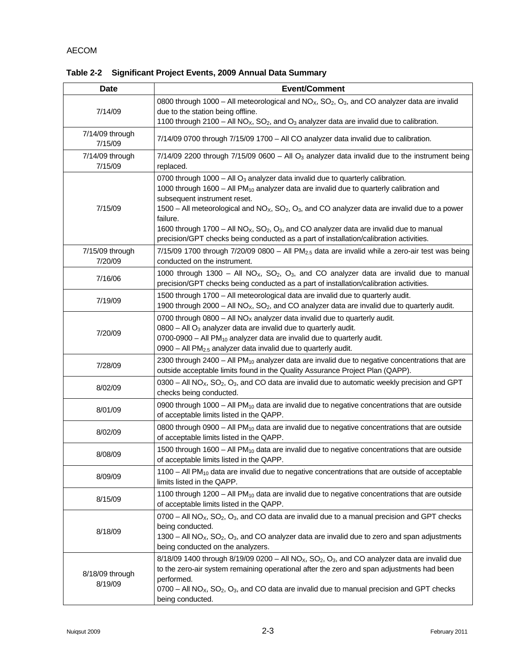| <b>Date</b>                | <b>Event/Comment</b>                                                                                                                                                                                                                                                                                                                                                                                                                                                                                                                                           |
|----------------------------|----------------------------------------------------------------------------------------------------------------------------------------------------------------------------------------------------------------------------------------------------------------------------------------------------------------------------------------------------------------------------------------------------------------------------------------------------------------------------------------------------------------------------------------------------------------|
| 7/14/09                    | 0800 through 1000 – All meteorological and $NOx$ , $SO2$ , $O3$ , and CO analyzer data are invalid<br>due to the station being offline.<br>1100 through 2100 - All NO <sub>X</sub> , SO <sub>2</sub> , and O <sub>3</sub> analyzer data are invalid due to calibration.                                                                                                                                                                                                                                                                                        |
| 7/14/09 through<br>7/15/09 | 7/14/09 0700 through 7/15/09 1700 - All CO analyzer data invalid due to calibration.                                                                                                                                                                                                                                                                                                                                                                                                                                                                           |
| 7/14/09 through<br>7/15/09 | $7/14/09$ 2200 through $7/15/09$ 0600 - All O <sub>3</sub> analyzer data invalid due to the instrument being<br>replaced.                                                                                                                                                                                                                                                                                                                                                                                                                                      |
| 7/15/09                    | 0700 through 1000 - All $O_3$ analyzer data invalid due to quarterly calibration.<br>1000 through 1600 - All $PM_{10}$ analyzer data are invalid due to quarterly calibration and<br>subsequent instrument reset.<br>1500 – All meteorological and NO <sub>x</sub> , SO <sub>2</sub> , O <sub>3</sub> , and CO analyzer data are invalid due to a power<br>failure.<br>1600 through 1700 – All $NOx$ , $SO2$ , $O3$ , and CO analyzer data are invalid due to manual<br>precision/GPT checks being conducted as a part of installation/calibration activities. |
| 7/15/09 through            | $7/15/09$ 1700 through $7/20/09$ 0800 - All PM <sub>2.5</sub> data are invalid while a zero-air test was being                                                                                                                                                                                                                                                                                                                                                                                                                                                 |
| 7/20/09<br>7/16/06         | conducted on the instrument.<br>1000 through 1300 - All NO <sub>x</sub> , SO <sub>2</sub> , O <sub>3</sub> , and CO analyzer data are invalid due to manual<br>precision/GPT checks being conducted as a part of installation/calibration activities.                                                                                                                                                                                                                                                                                                          |
| 7/19/09                    | 1500 through 1700 - All meteorological data are invalid due to quarterly audit.<br>1900 through 2000 – All $NO_{X}$ , SO <sub>2</sub> , and CO analyzer data are invalid due to quarterly audit.                                                                                                                                                                                                                                                                                                                                                               |
| 7/20/09                    | 0700 through 0800 - All $NOx$ analyzer data invalid due to quarterly audit.<br>$0800$ – All O <sub>3</sub> analyzer data are invalid due to quarterly audit.<br>0700-0900 - All PM <sub>10</sub> analyzer data are invalid due to quarterly audit.<br>0900 - All PM <sub>2.5</sub> analyzer data invalid due to quarterly audit.                                                                                                                                                                                                                               |
| 7/28/09                    | 2300 through 2400 - All PM <sub>10</sub> analyzer data are invalid due to negative concentrations that are<br>outside acceptable limits found in the Quality Assurance Project Plan (QAPP).                                                                                                                                                                                                                                                                                                                                                                    |
| 8/02/09                    | $0300 - AlN$ NO <sub>X</sub> , SO <sub>2</sub> , O <sub>3</sub> , and CO data are invalid due to automatic weekly precision and GPT<br>checks being conducted.                                                                                                                                                                                                                                                                                                                                                                                                 |
| 8/01/09                    | 0900 through 1000 - All $PM_{10}$ data are invalid due to negative concentrations that are outside<br>of acceptable limits listed in the QAPP.                                                                                                                                                                                                                                                                                                                                                                                                                 |
| 8/02/09                    | 0800 through 0900 - All $PM_{10}$ data are invalid due to negative concentrations that are outside<br>of acceptable limits listed in the QAPP.                                                                                                                                                                                                                                                                                                                                                                                                                 |
| 8/08/09                    | 1500 through 1600 – All $PM_{10}$ data are invalid due to negative concentrations that are outside<br>of acceptable limits listed in the QAPP.                                                                                                                                                                                                                                                                                                                                                                                                                 |
| 8/09/09                    | 1100 - All PM <sub>10</sub> data are invalid due to negative concentrations that are outside of acceptable<br>limits listed in the QAPP.                                                                                                                                                                                                                                                                                                                                                                                                                       |
| 8/15/09                    | 1100 through 1200 - All $PM_{10}$ data are invalid due to negative concentrations that are outside<br>of acceptable limits listed in the QAPP.                                                                                                                                                                                                                                                                                                                                                                                                                 |
| 8/18/09                    | $0700 - AlN$ NO <sub>X</sub> , SO <sub>2</sub> , O <sub>3</sub> , and CO data are invalid due to a manual precision and GPT checks<br>being conducted.<br>1300 – All $NOx$ , SO <sub>2</sub> , O <sub>3</sub> , and CO analyzer data are invalid due to zero and span adjustments<br>being conducted on the analyzers.                                                                                                                                                                                                                                         |
| 8/18/09 through<br>8/19/09 | $8/18/09$ 1400 through $8/19/09$ 0200 – All NO <sub>x</sub> , SO <sub>2</sub> , O <sub>3</sub> , and CO analyzer data are invalid due<br>to the zero-air system remaining operational after the zero and span adjustments had been<br>performed.<br>$0700 -$ All NO <sub>x</sub> , SO <sub>2</sub> , O <sub>3</sub> , and CO data are invalid due to manual precision and GPT checks<br>being conducted.                                                                                                                                                       |

**Table 2-2 Significant Project Events, 2009 Annual Data Summary**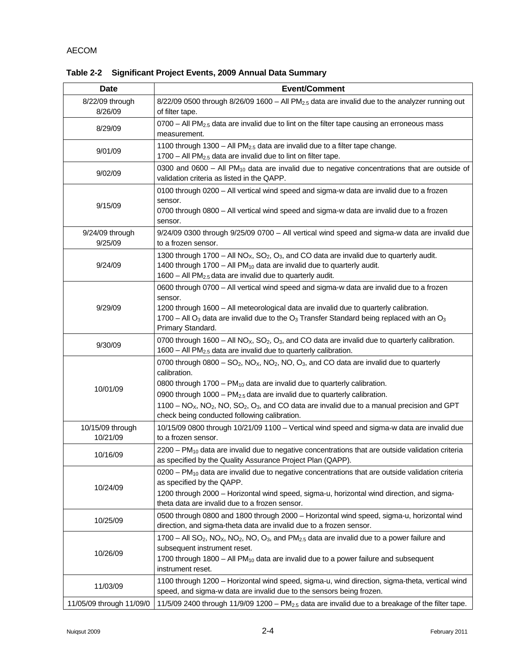| Date                       | <b>Event/Comment</b>                                                                                                                                                                                                                                                                                                                                                                                                                                                                           |  |  |  |  |  |  |
|----------------------------|------------------------------------------------------------------------------------------------------------------------------------------------------------------------------------------------------------------------------------------------------------------------------------------------------------------------------------------------------------------------------------------------------------------------------------------------------------------------------------------------|--|--|--|--|--|--|
| 8/22/09 through<br>8/26/09 | $8/22/09$ 0500 through $8/26/09$ 1600 - All PM <sub>2.5</sub> data are invalid due to the analyzer running out<br>of filter tape.                                                                                                                                                                                                                                                                                                                                                              |  |  |  |  |  |  |
| 8/29/09                    | 0700 - All PM <sub>2.5</sub> data are invalid due to lint on the filter tape causing an erroneous mass<br>measurement.                                                                                                                                                                                                                                                                                                                                                                         |  |  |  |  |  |  |
| 9/01/09                    | 1100 through 1300 - All $PM2.5$ data are invalid due to a filter tape change.<br>$1700 - All PM2.5$ data are invalid due to lint on filter tape.                                                                                                                                                                                                                                                                                                                                               |  |  |  |  |  |  |
| 9/02/09                    | 0300 and 0600 - All $PM_{10}$ data are invalid due to negative concentrations that are outside of<br>validation criteria as listed in the QAPP.                                                                                                                                                                                                                                                                                                                                                |  |  |  |  |  |  |
| 9/15/09                    | 0100 through 0200 - All vertical wind speed and sigma-w data are invalid due to a frozen<br>sensor.<br>0700 through 0800 - All vertical wind speed and sigma-w data are invalid due to a frozen<br>sensor.                                                                                                                                                                                                                                                                                     |  |  |  |  |  |  |
| 9/24/09 through<br>9/25/09 | 9/24/09 0300 through 9/25/09 0700 - All vertical wind speed and sigma-w data are invalid due<br>to a frozen sensor.                                                                                                                                                                                                                                                                                                                                                                            |  |  |  |  |  |  |
| 9/24/09                    | 1300 through 1700 – All $NO_{X}$ , $SO_{2}$ , $O_{3}$ , and CO data are invalid due to quarterly audit.<br>1400 through 1700 - All PM <sub>10</sub> data are invalid due to quarterly audit.<br>1600 - All PM <sub>2.5</sub> data are invalid due to quarterly audit.                                                                                                                                                                                                                          |  |  |  |  |  |  |
| 9/29/09                    | 0600 through 0700 - All vertical wind speed and sigma-w data are invalid due to a frozen<br>sensor.<br>1200 through 1600 - All meteorological data are invalid due to quarterly calibration.<br>1700 – All O <sub>3</sub> data are invalid due to the O <sub>3</sub> Transfer Standard being replaced with an O <sub>3</sub><br>Primary Standard.                                                                                                                                              |  |  |  |  |  |  |
| 9/30/09                    | 0700 through 1600 – All NO <sub>x</sub> , SO <sub>2</sub> , O <sub>3</sub> , and CO data are invalid due to quarterly calibration.<br>1600 - All PM <sub>2.5</sub> data are invalid due to quarterly calibration.                                                                                                                                                                                                                                                                              |  |  |  |  |  |  |
| 10/01/09                   | 0700 through $0800 - SO_2$ , NO <sub>x</sub> , NO <sub>2</sub> , NO <sub>2</sub> , Q <sub>3</sub> , and CO data are invalid due to quarterly<br>calibration.<br>0800 through 1700 - PM <sub>10</sub> data are invalid due to quarterly calibration.<br>0900 through 1000 - $PM_{2.5}$ data are invalid due to quarterly calibration.<br>1100 – $NOx$ , $NO2$ , $NO$ , $SO2$ , $O3$ , and CO data are invalid due to a manual precision and GPT<br>check being conducted following calibration. |  |  |  |  |  |  |
| 10/15/09 through           | 10/15/09 0800 through 10/21/09 1100 - Vertical wind speed and sigma-w data are invalid due                                                                                                                                                                                                                                                                                                                                                                                                     |  |  |  |  |  |  |
| 10/21/09<br>10/16/09       | to a frozen sensor.<br>$2200 - PM_{10}$ data are invalid due to negative concentrations that are outside validation criteria<br>as specified by the Quality Assurance Project Plan (QAPP).                                                                                                                                                                                                                                                                                                     |  |  |  |  |  |  |
| 10/24/09                   | $0200 - PM_{10}$ data are invalid due to negative concentrations that are outside validation criteria<br>as specified by the QAPP.<br>1200 through 2000 - Horizontal wind speed, sigma-u, horizontal wind direction, and sigma-<br>theta data are invalid due to a frozen sensor.                                                                                                                                                                                                              |  |  |  |  |  |  |
| 10/25/09                   | 0500 through 0800 and 1800 through 2000 - Horizontal wind speed, sigma-u, horizontal wind<br>direction, and sigma-theta data are invalid due to a frozen sensor.                                                                                                                                                                                                                                                                                                                               |  |  |  |  |  |  |
| 10/26/09                   | 1700 – All SO <sub>2</sub> , NO <sub>x</sub> , NO <sub>2</sub> , NO <sub>3</sub> , and PM <sub>2.5</sub> data are invalid due to a power failure and<br>subsequent instrument reset.<br>1700 through 1800 - All PM <sub>10</sub> data are invalid due to a power failure and subsequent<br>instrument reset.                                                                                                                                                                                   |  |  |  |  |  |  |
| 11/03/09                   | 1100 through 1200 - Horizontal wind speed, sigma-u, wind direction, sigma-theta, vertical wind<br>speed, and sigma-w data are invalid due to the sensors being frozen.                                                                                                                                                                                                                                                                                                                         |  |  |  |  |  |  |
| 11/05/09 through 11/09/0   | 11/5/09 2400 through 11/9/09 1200 - PM $_{2.5}$ data are invalid due to a breakage of the filter tape.                                                                                                                                                                                                                                                                                                                                                                                         |  |  |  |  |  |  |

**Table 2-2 Significant Project Events, 2009 Annual Data Summary**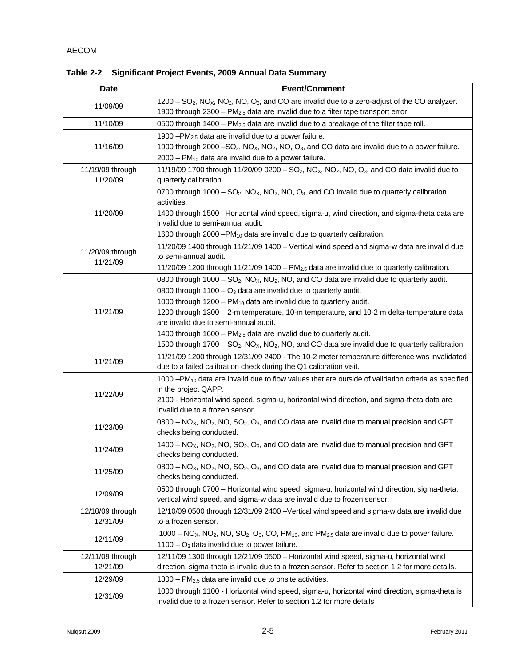| <b>Date</b>                  | <b>Event/Comment</b>                                                                                                                                                                                                                                                                                                                                                                                                                                                                                                                                                                                                                                              |
|------------------------------|-------------------------------------------------------------------------------------------------------------------------------------------------------------------------------------------------------------------------------------------------------------------------------------------------------------------------------------------------------------------------------------------------------------------------------------------------------------------------------------------------------------------------------------------------------------------------------------------------------------------------------------------------------------------|
| 11/09/09                     | $1200 - SO2$ , NO <sub>x</sub> , NO <sub>2</sub> , NO, O <sub>3</sub> , and CO are invalid due to a zero-adjust of the CO analyzer.<br>1900 through 2300 - $PM_{2.5}$ data are invalid due to a filter tape transport error.                                                                                                                                                                                                                                                                                                                                                                                                                                      |
| 11/10/09                     | 0500 through 1400 - PM <sub>2.5</sub> data are invalid due to a breakage of the filter tape roll.                                                                                                                                                                                                                                                                                                                                                                                                                                                                                                                                                                 |
| 11/16/09                     | 1900 $-PM_{2,5}$ data are invalid due to a power failure.<br>1900 through 2000 $-SO_2$ , NO <sub>x</sub> , NO <sub>2</sub> , NO <sub>3</sub> , and CO data are invalid due to a power failure.<br>$2000 - PM_{10}$ data are invalid due to a power failure.                                                                                                                                                                                                                                                                                                                                                                                                       |
| 11/19/09 through<br>11/20/09 | 11/19/09 1700 through 11/20/09 0200 - SO <sub>2</sub> , NO <sub>x</sub> , NO <sub>2</sub> , NO <sub>3</sub> , and CO data invalid due to<br>quarterly calibration.                                                                                                                                                                                                                                                                                                                                                                                                                                                                                                |
| 11/20/09                     | 0700 through 1000 - $SO_2$ , NO <sub>x</sub> , NO <sub>2</sub> , NO, O <sub>3</sub> , and CO invalid due to quarterly calibration<br>activities.<br>1400 through 1500 - Horizontal wind speed, sigma-u, wind direction, and sigma-theta data are<br>invalid due to semi-annual audit.<br>1600 through 2000 - PM <sub>10</sub> data are invalid due to quarterly calibration.                                                                                                                                                                                                                                                                                      |
| 11/20/09 through<br>11/21/09 | 11/20/09 1400 through 11/21/09 1400 - Vertical wind speed and sigma-w data are invalid due<br>to semi-annual audit.<br>11/20/09 1200 through 11/21/09 1400 - $PM2.5$ data are invalid due to quarterly calibration.                                                                                                                                                                                                                                                                                                                                                                                                                                               |
| 11/21/09                     | 0800 through $1000 - SO_2$ , NO <sub>x</sub> , NO <sub>2</sub> , NO <sub>2</sub> and CO data are invalid due to quarterly audit.<br>0800 through $1100 - O_3$ data are invalid due to quarterly audit.<br>1000 through 1200 - PM <sub>10</sub> data are invalid due to quarterly audit.<br>1200 through 1300 - 2-m temperature, 10-m temperature, and 10-2 m delta-temperature data<br>are invalid due to semi-annual audit.<br>1400 through 1600 - PM <sub>2.5</sub> data are invalid due to quarterly audit.<br>1500 through 1700 – SO <sub>2</sub> , NO <sub>x</sub> , NO <sub>2</sub> , NO <sub>,</sub> and CO data are invalid due to quarterly calibration. |
| 11/21/09                     | 11/21/09 1200 through 12/31/09 2400 - The 10-2 meter temperature difference was invalidated<br>due to a failed calibration check during the Q1 calibration visit.                                                                                                                                                                                                                                                                                                                                                                                                                                                                                                 |
| 11/22/09                     | 1000 - $PM_{10}$ data are invalid due to flow values that are outside of validation criteria as specified<br>in the project QAPP.<br>2100 - Horizontal wind speed, sigma-u, horizontal wind direction, and sigma-theta data are<br>invalid due to a frozen sensor.                                                                                                                                                                                                                                                                                                                                                                                                |
| 11/23/09                     | $0800 - NOx$ , NO <sub>2</sub> , NO, SO <sub>2</sub> , O <sub>3</sub> , and CO data are invalid due to manual precision and GPT<br>checks being conducted.                                                                                                                                                                                                                                                                                                                                                                                                                                                                                                        |
| 11/24/09                     | $1400 - NOx$ , NO <sub>2</sub> , NO, SO <sub>2</sub> , O <sub>3</sub> , and CO data are invalid due to manual precision and GPT<br>checks being conducted.                                                                                                                                                                                                                                                                                                                                                                                                                                                                                                        |
| 11/25/09                     | $0800 - NOx$ , NO <sub>2</sub> , NO, SO <sub>2</sub> , O <sub>3</sub> , and CO data are invalid due to manual precision and GPT<br>checks being conducted.                                                                                                                                                                                                                                                                                                                                                                                                                                                                                                        |
| 12/09/09                     | 0500 through 0700 - Horizontal wind speed, sigma-u, horizontal wind direction, sigma-theta,<br>vertical wind speed, and sigma-w data are invalid due to frozen sensor.                                                                                                                                                                                                                                                                                                                                                                                                                                                                                            |
| 12/10/09 through<br>12/31/09 | 12/10/09 0500 through 12/31/09 2400 -Vertical wind speed and sigma-w data are invalid due<br>to a frozen sensor.                                                                                                                                                                                                                                                                                                                                                                                                                                                                                                                                                  |
| 12/11/09                     | $1000 - NOX$ , NO <sub>2</sub> , NO, SO <sub>2</sub> , O <sub>3</sub> , CO, PM <sub>10</sub> , and PM <sub>2.5</sub> data are invalid due to power failure.<br>$1100 - O_3$ data invalid due to power failure.                                                                                                                                                                                                                                                                                                                                                                                                                                                    |
| 12/11/09 through<br>12/21/09 | 12/11/09 1300 through 12/21/09 0500 - Horizontal wind speed, sigma-u, horizontal wind<br>direction, sigma-theta is invalid due to a frozen sensor. Refer to section 1.2 for more details.                                                                                                                                                                                                                                                                                                                                                                                                                                                                         |
| 12/29/09                     | $1300 - PM_{2.5}$ data are invalid due to onsite activities.                                                                                                                                                                                                                                                                                                                                                                                                                                                                                                                                                                                                      |
| 12/31/09                     | 1000 through 1100 - Horizontal wind speed, sigma-u, horizontal wind direction, sigma-theta is<br>invalid due to a frozen sensor. Refer to section 1.2 for more details                                                                                                                                                                                                                                                                                                                                                                                                                                                                                            |

**Table 2-2 Significant Project Events, 2009 Annual Data Summary**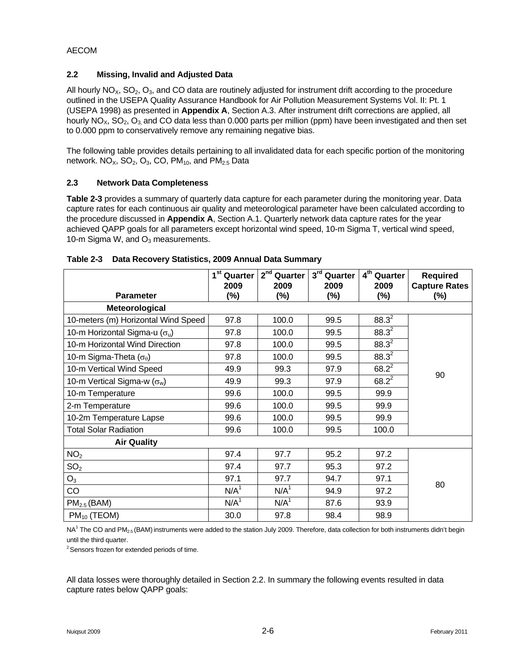#### **2.2 Missing, Invalid and Adjusted Data**

All hourly  $NO<sub>x</sub>$ ,  $SO<sub>2</sub>$ ,  $O<sub>3</sub>$ , and CO data are routinely adjusted for instrument drift according to the procedure outlined in the USEPA Quality Assurance Handbook for Air Pollution Measurement Systems Vol. II: Pt. 1 (USEPA 1998) as presented in **Appendix A**, Section A.3. After instrument drift corrections are applied, all hourly  $NO<sub>X</sub>$ ,  $SO<sub>2</sub>$ ,  $O<sub>3</sub>$  and CO data less than 0.000 parts per million (ppm) have been investigated and then set to 0.000 ppm to conservatively remove any remaining negative bias.

The following table provides details pertaining to all invalidated data for each specific portion of the monitoring network.  $NO<sub>X</sub>$ ,  $SO<sub>2</sub>$ ,  $O<sub>3</sub>$ ,  $CO$ ,  $PM<sub>10</sub>$ , and  $PM<sub>2.5</sub>$  Data

## **2.3 Network Data Completeness**

**Table 2-3** provides a summary of quarterly data capture for each parameter during the monitoring year. Data capture rates for each continuous air quality and meteorological parameter have been calculated according to the procedure discussed in **Appendix A**, Section A.1. Quarterly network data capture rates for the year achieved QAPP goals for all parameters except horizontal wind speed, 10-m Sigma T, vertical wind speed, 10-m Sigma W, and  $O_3$  measurements.

| <b>Parameter</b>                       | 1 <sup>st</sup> Quarter<br>2009<br>(%) | $2nd$ Quarter<br>2009<br>(%) | 3rd Quarter<br>2009<br>(%) | 4 <sup>th</sup> Quarter<br>2009<br>$(\%)$ | <b>Required</b><br><b>Capture Rates</b><br>$(\%)$ |
|----------------------------------------|----------------------------------------|------------------------------|----------------------------|-------------------------------------------|---------------------------------------------------|
| Meteorological                         |                                        |                              |                            |                                           |                                                   |
| 10-meters (m) Horizontal Wind Speed    | 97.8                                   | 100.0                        | 99.5                       | $88.3^2$                                  |                                                   |
| 10-m Horizontal Sigma-u ( $\sigma_u$ ) | 97.8                                   | 100.0                        | 99.5                       | $88.3^2$                                  |                                                   |
| 10-m Horizontal Wind Direction         | 97.8                                   | 100.0                        | 99.5                       | $88.3^2$                                  |                                                   |
| 10-m Sigma-Theta $(\sigma_{\theta})$   | 97.8                                   | 100.0                        | 99.5                       | $88.3^{2}$                                |                                                   |
| 10-m Vertical Wind Speed               | 49.9                                   | 99.3                         | 97.9                       | $68.2^2$                                  | 90                                                |
| 10-m Vertical Sigma-w $(\sigma_w)$     | 49.9                                   | 99.3                         | 97.9                       | $68.2^2$                                  |                                                   |
| 10-m Temperature                       | 99.6                                   | 100.0                        | 99.5                       | 99.9                                      |                                                   |
| 2-m Temperature                        | 99.6                                   | 100.0                        | 99.5                       | 99.9                                      |                                                   |
| 10-2m Temperature Lapse                | 99.6                                   | 100.0                        | 99.5                       | 99.9                                      |                                                   |
| <b>Total Solar Radiation</b>           | 99.6                                   | 100.0                        | 99.5                       | 100.0                                     |                                                   |
| <b>Air Quality</b>                     |                                        |                              |                            |                                           |                                                   |
| NO <sub>2</sub>                        | 97.4                                   | 97.7                         | 95.2                       | 97.2                                      |                                                   |
| SO <sub>2</sub>                        | 97.4                                   | 97.7                         | 95.3                       | 97.2                                      |                                                   |
| O <sub>3</sub>                         | 97.1                                   | 97.7                         | 94.7                       | 97.1                                      | 80                                                |
| <b>CO</b>                              | N/A <sup>1</sup>                       | N/A <sup>1</sup>             | 94.9                       | 97.2                                      |                                                   |
| $PM2.5$ (BAM)                          | N/A <sup>1</sup>                       | N/A <sup>1</sup>             | 87.6                       | 93.9                                      |                                                   |
| $PM_{10}$ (TEOM)                       | 30.0                                   | 97.8                         | 98.4                       | 98.9                                      |                                                   |

| Table 2-3 Data Recovery Statistics, 2009 Annual Data Summary |  |  |  |
|--------------------------------------------------------------|--|--|--|
|                                                              |  |  |  |

NA<sup>1</sup> The CO and PM<sub>2.5</sub> (BAM) instruments were added to the station July 2009. Therefore, data collection for both instruments didn't begin until the third quarter.

<sup>2</sup> Sensors frozen for extended periods of time.

All data losses were thoroughly detailed in Section 2.2. In summary the following events resulted in data capture rates below QAPP goals: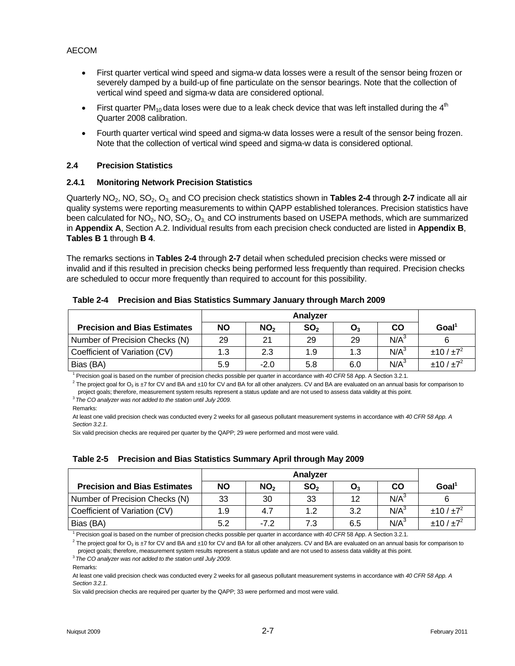- First quarter vertical wind speed and sigma-w data losses were a result of the sensor being frozen or severely damped by a build-up of fine particulate on the sensor bearings. Note that the collection of vertical wind speed and sigma-w data are considered optional.
- First quarter PM<sub>10</sub> data loses were due to a leak check device that was left installed during the  $4<sup>th</sup>$ Quarter 2008 calibration.
- Fourth quarter vertical wind speed and sigma-w data losses were a result of the sensor being frozen. Note that the collection of vertical wind speed and sigma-w data is considered optional.

#### **2.4 Precision Statistics**

#### **2.4.1 Monitoring Network Precision Statistics**

Quarterly NO2, NO, SO2, O3, and CO precision check statistics shown in **Tables 2-4** through **2-7** indicate all air quality systems were reporting measurements to within QAPP established tolerances. Precision statistics have been calculated for  $NO_2$ ,  $NO_2$ ,  $O_3$ , and CO instruments based on USEPA methods, which are summarized in **Appendix A**, Section A.2. Individual results from each precision check conducted are listed in **Appendix B**, **Tables B 1** through **B 4**.

The remarks sections in **Tables 2-4** through **2-7** detail when scheduled precision checks were missed or invalid and if this resulted in precision checks being performed less frequently than required. Precision checks are scheduled to occur more frequently than required to account for this possibility.

#### **Table 2-4 Precision and Bias Statistics Summary January through March 2009**

|                                     |           | Analyzer        |                 |                |                  |                     |  |
|-------------------------------------|-----------|-----------------|-----------------|----------------|------------------|---------------------|--|
| <b>Precision and Bias Estimates</b> | <b>NO</b> | NO <sub>2</sub> | SO <sub>2</sub> | $\mathbf{O}_3$ | CO               | Goal <sup>®</sup>   |  |
| Number of Precision Checks (N)      | 29        | 21              | 29              | 29             | N/A <sup>3</sup> |                     |  |
| Coefficient of Variation (CV)       | 1.3       | 2.3             | 1.9             | 1.3            | N/A <sup>3</sup> | ±10/±7 <sup>2</sup> |  |
| Bias (BA)                           | 5.9       | $-2.0$          | 5.8             | 6.0            | $N/A^3$          | ±10/±7 <sup>2</sup> |  |

<sup>1</sup> Precision goal is based on the number of precision checks possible per quarter in accordance with 40 CFR 58 App. A Section 3.2.1.

<sup>1</sup> Precision goal is based on the number of precision checks possible per quarter in accordance with *40 CFR* 58 App. A Section 3.2.1.<br><sup>2</sup> The project goal for O<sub>3</sub> is ±7 for CV and BA and ±10 for CV and BA for all other project goals; therefore, measurement system results represent a status update and are not used to assess data validity at this point.<br><sup>3</sup> *The CO analyzer was not added to the station until July 2009.* 

At least one valid precision check was conducted every 2 weeks for all gaseous pollutant measurement systems in accordance with *40 CFR 58 App. A Section 3.2.1*.

Six valid precision checks are required per quarter by the QAPP; 29 were performed and most were valid.

#### **Table 2-5 Precision and Bias Statistics Summary April through May 2009**

| <b>Precision and Bias Estimates</b> | <b>NO</b> | NO <sub>2</sub> | SO <sub>2</sub> | O <sub>3</sub> | CO               | Goal <sup>1</sup>   |
|-------------------------------------|-----------|-----------------|-----------------|----------------|------------------|---------------------|
| Number of Precision Checks (N)      | 33        | 30              | 33              | 12             | N/A <sup>3</sup> |                     |
| Coefficient of Variation (CV)       | 1.9       | 4.7             | 1.2             | 3.2            | $N/A^3$          | ±10/±7 <sup>2</sup> |
| Bias (BA)                           | 5.2       | $-7.2$          | 7.3             | 6.5            | $N/A^3$          | ±10/±7 <sup>2</sup> |

<sup>1</sup> Precision goal is based on the number of precision checks possible per quarter in accordance with *40 CFR* 58 App. A Section 3.2.1.<br><sup>2</sup> The preject goal for Q, in +7 for QV and BA and +10 for QV and BA for all other ap

<sup>2</sup> The project goal for O<sub>3</sub> is ±7 for CV and BA and ±10 for CV and BA for all other analyzers. CV and BA are evaluated on an annual basis for comparison to project goals; therefore, measurement system results represent a status update and are not used to assess data validity at this point. 3 *The CO analyzer was not added to the station until July 2009.* 

At least one valid precision check was conducted every 2 weeks for all gaseous pollutant measurement systems in accordance with *40 CFR 58 App. A Section 3.2.1*.

Six valid precision checks are required per quarter by the QAPP; 33 were performed and most were valid.

Remarks:

Remarks: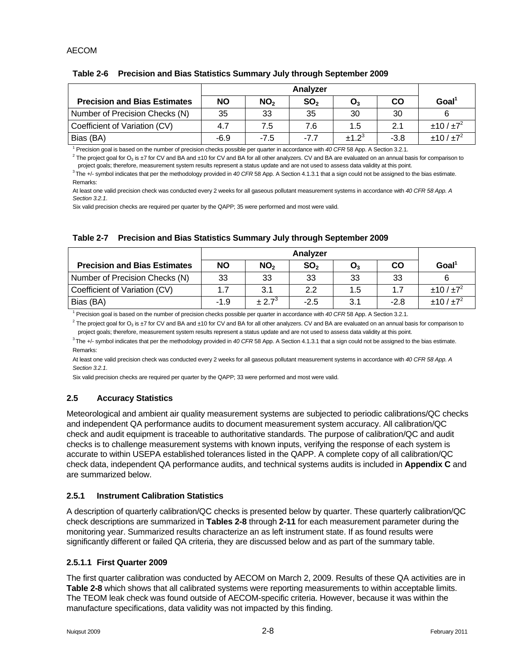#### **Table 2-6 Precision and Bias Statistics Summary July through September 2009**

| <b>Precision and Bias Estimates</b> | <b>NO</b> | NO <sub>2</sub> | SO <sub>2</sub> | $O_3$             | CO     | Goal <sup>1</sup>   |
|-------------------------------------|-----------|-----------------|-----------------|-------------------|--------|---------------------|
| Number of Precision Checks (N)      | 35        | 33              | 35              | 30                | 30     |                     |
| Coefficient of Variation (CV)       | 4.7       | 7.5             | 7.6             | 1.5               | 2.1    | ±10/±7 <sup>2</sup> |
| Bias (BA)                           | $-6.9$    | $-7.5$          | $-7.7$          | ±1.2 <sup>3</sup> | $-3.8$ | ±10/±7 <sup>2</sup> |

<sup>1</sup> Precision goal is based on the number of precision checks possible per quarter in accordance with 40 CFR 58 App. A Section 3.2.1.

<sup>1</sup> Precision goal is based on the number of precision checks possible per quarter in accordance with *40 CFR* 58 App. A Section 3.2.1.<br><sup>2</sup> The project goal for O<sub>3</sub> is ±7 for CV and BA and ±10 for CV and BA for all other

project goals; therefore, measurement system results represent a status update and are not used to assess data validity at this point.<br><sup>3</sup>The +/- symbol indicates that per the methodology provided in 40 CFR 58 App. A Secti Remarks:

At least one valid precision check was conducted every 2 weeks for all gaseous pollutant measurement systems in accordance with *40 CFR 58 App. A Section 3.2.1*.

Six valid precision checks are required per quarter by the QAPP; 35 were performed and most were valid.

#### **Table 2-7 Precision and Bias Statistics Summary July through September 2009**

| <b>Precision and Bias Estimates</b> | ΝO     | NO <sub>2</sub> | SO <sub>2</sub> | $\mathbf{O}_3$ | CO     | Goal <sup>1</sup>   |
|-------------------------------------|--------|-----------------|-----------------|----------------|--------|---------------------|
| Number of Precision Checks (N)      | 33     | 33              | 33              | 33             | 33     |                     |
| Coefficient of Variation (CV)       | 1.7    | 3.1             | 2.2             | 1.5            | 1.7    | ±10/±7 <sup>2</sup> |
| Bias (BA)                           | $-1.9$ | $\pm 2.7^3$     | $-2.5$          | 3.1            | $-2.8$ | ±10/±7 <sup>2</sup> |

<sup>1</sup> Precision goal is based on the number of precision checks possible per quarter in accordance with 40 CFR 58 App. A Section 3.2.1.

 $^2$  The project goal for O<sub>3</sub> is ±7 for CV and BA and ±10 for CV and BA for all other analyzers. CV and BA are evaluated on an annual basis for comparison to project goals; therefore, measurement system results represent a status update and are not used to assess data validity at this point.

<sup>3</sup> The +/- symbol indicates that per the methodology provided in 40 CFR 58 App. A Section 4.1.3.1 that a sign could not be assigned to the bias estimate. Remarks:

At least one valid precision check was conducted every 2 weeks for all gaseous pollutant measurement systems in accordance with *40 CFR 58 App. A Section 3.2.1*.

Six valid precision checks are required per quarter by the QAPP; 33 were performed and most were valid.

#### **2.5 Accuracy Statistics**

Meteorological and ambient air quality measurement systems are subjected to periodic calibrations/QC checks and independent QA performance audits to document measurement system accuracy. All calibration/QC check and audit equipment is traceable to authoritative standards. The purpose of calibration/QC and audit checks is to challenge measurement systems with known inputs, verifying the response of each system is accurate to within USEPA established tolerances listed in the QAPP. A complete copy of all calibration/QC check data, independent QA performance audits, and technical systems audits is included in **Appendix C** and are summarized below.

#### **2.5.1 Instrument Calibration Statistics**

A description of quarterly calibration/QC checks is presented below by quarter. These quarterly calibration/QC check descriptions are summarized in **Tables 2-8** through **2-11** for each measurement parameter during the monitoring year. Summarized results characterize an as left instrument state. If as found results were significantly different or failed QA criteria, they are discussed below and as part of the summary table.

#### **2.5.1.1 First Quarter 2009**

The first quarter calibration was conducted by AECOM on March 2, 2009. Results of these QA activities are in **Table 2-8** which shows that all calibrated systems were reporting measurements to within acceptable limits. The TEOM leak check was found outside of AECOM-specific criteria. However, because it was within the manufacture specifications, data validity was not impacted by this finding.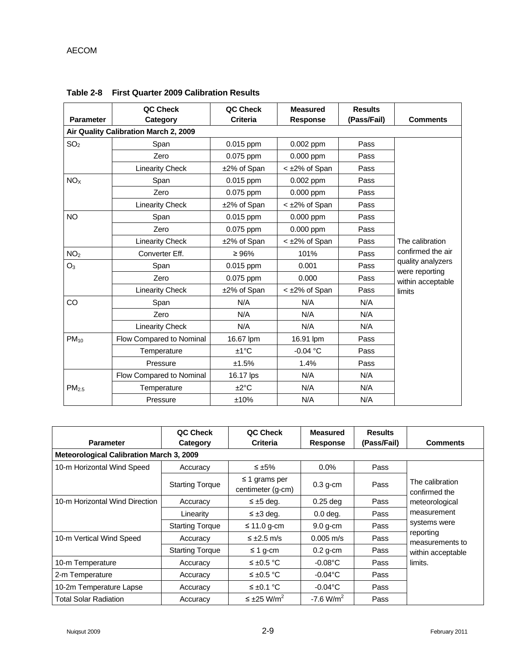| <b>Parameter</b>                      | QC Check<br>Category     | QC Check<br><b>Criteria</b> | <b>Measured</b><br><b>Response</b> | <b>Results</b><br>(Pass/Fail) | <b>Comments</b>                     |
|---------------------------------------|--------------------------|-----------------------------|------------------------------------|-------------------------------|-------------------------------------|
| Air Quality Calibration March 2, 2009 |                          |                             |                                    |                               |                                     |
| SO <sub>2</sub>                       | Span                     | 0.015 ppm                   | 0.002 ppm                          | Pass                          |                                     |
|                                       | Zero                     | 0.075 ppm                   | 0.000 ppm                          | Pass                          |                                     |
|                                       | <b>Linearity Check</b>   | ±2% of Span                 | < ±2% of Span                      | Pass                          |                                     |
| NO <sub>X</sub>                       | Span                     | 0.015 ppm                   | 0.002 ppm                          | Pass                          |                                     |
|                                       | Zero                     | 0.075 ppm                   | 0.000 ppm                          | Pass                          |                                     |
|                                       | <b>Linearity Check</b>   | ±2% of Span                 | < ±2% of Span                      | Pass                          |                                     |
| <b>NO</b>                             | Span                     | 0.015 ppm                   | 0.000 ppm                          | Pass                          |                                     |
|                                       | Zero                     | 0.075 ppm                   | 0.000 ppm                          | Pass                          |                                     |
|                                       | <b>Linearity Check</b>   | ±2% of Span                 | < ±2% of Span                      | Pass                          | The calibration                     |
| NO <sub>2</sub>                       | Converter Eff.           | $\geq 96\%$                 | 101%                               | Pass                          | confirmed the air                   |
| $O_3$                                 | Span                     | 0.015 ppm                   | 0.001                              | Pass                          | quality analyzers<br>were reporting |
|                                       | Zero                     | 0.075 ppm                   | 0.000                              | Pass                          | within acceptable                   |
|                                       | <b>Linearity Check</b>   | ±2% of Span                 | < ±2% of Span                      | Pass                          | limits                              |
| CO                                    | Span                     | N/A                         | N/A                                | N/A                           |                                     |
|                                       | Zero                     | N/A                         | N/A                                | N/A                           |                                     |
|                                       | <b>Linearity Check</b>   | N/A                         | N/A                                | N/A                           |                                     |
| $PM_{10}$                             | Flow Compared to Nominal | 16.67 lpm                   | 16.91 lpm                          | Pass                          |                                     |
|                                       | Temperature              | $±1^{\circ}C$               | $-0.04 °C$                         | Pass                          |                                     |
|                                       | Pressure                 | ±1.5%                       | 1.4%                               | Pass                          |                                     |
|                                       | Flow Compared to Nominal | 16.17 lps                   | N/A                                | N/A                           |                                     |
| PM <sub>2.5</sub>                     | Temperature              | ±2°C                        | N/A                                | N/A                           |                                     |
|                                       | Pressure                 | ±10%                        | N/A                                | N/A                           |                                     |

**Table 2-8 First Quarter 2009 Calibration Results** 

| <b>Parameter</b>                                | QC Check<br>Category   | QC Check<br><b>Criteria</b>             | <b>Measured</b><br><b>Response</b> | <b>Results</b><br>(Pass/Fail) | <b>Comments</b>                  |  |  |  |
|-------------------------------------------------|------------------------|-----------------------------------------|------------------------------------|-------------------------------|----------------------------------|--|--|--|
| <b>Meteorological Calibration March 3, 2009</b> |                        |                                         |                                    |                               |                                  |  |  |  |
| 10-m Horizontal Wind Speed                      | Accuracy               | ≤ $±5%$                                 | $0.0\%$                            | Pass                          |                                  |  |  |  |
|                                                 | <b>Starting Torque</b> | $\leq$ 1 grams per<br>centimeter (g-cm) | $0.3$ g-cm                         | Pass                          | The calibration<br>confirmed the |  |  |  |
| 10-m Horizontal Wind Direction                  | Accuracy               | $\leq \pm 5$ deg.                       | $0.25$ deg                         | Pass                          | meteorological                   |  |  |  |
|                                                 | Linearity              | $\leq \pm 3$ deg.                       | $0.0$ deg.                         | Pass                          | measurement                      |  |  |  |
|                                                 | <b>Starting Torque</b> | $\leq$ 11.0 g-cm                        | $9.0$ g-cm                         | Pass                          | systems were                     |  |  |  |
| 10-m Vertical Wind Speed                        | Accuracy               | $\leq \pm 2.5$ m/s                      | $0.005 \text{ m/s}$                | Pass                          | reporting<br>measurements to     |  |  |  |
|                                                 | <b>Starting Torque</b> | $\leq$ 1 g-cm                           | $0.2$ g-cm                         | Pass                          | within acceptable                |  |  |  |
| 10-m Temperature                                | Accuracy               | $\leq \pm 0.5$ °C                       | $-0.08$ °C                         | Pass                          | limits.                          |  |  |  |
| 2-m Temperature                                 | Accuracy               | ≤ $±0.5$ °C                             | $-0.04$ °C                         | Pass                          |                                  |  |  |  |
| 10-2m Temperature Lapse                         | Accuracy               | ≤ ±0.1 °C                               | $-0.04$ °C                         | Pass                          |                                  |  |  |  |
| <b>Total Solar Radiation</b>                    | Accuracy               | $\leq \pm 25$ W/m <sup>2</sup>          | $-7.6$ W/m <sup>2</sup>            | Pass                          |                                  |  |  |  |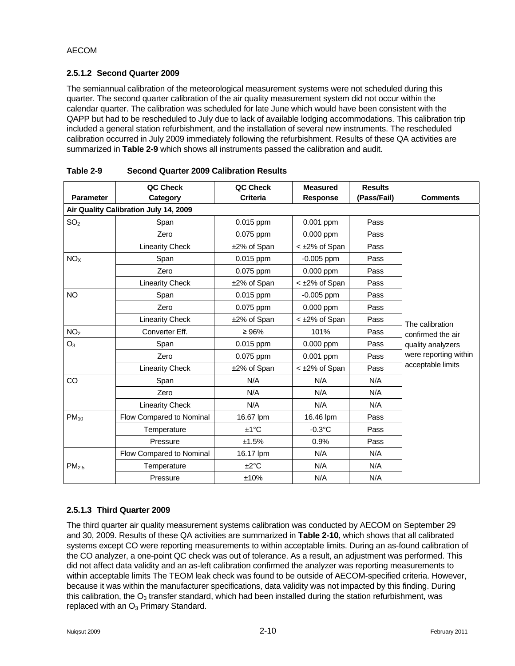#### **2.5.1.2 Second Quarter 2009**

The semiannual calibration of the meteorological measurement systems were not scheduled during this quarter. The second quarter calibration of the air quality measurement system did not occur within the calendar quarter. The calibration was scheduled for late June which would have been consistent with the QAPP but had to be rescheduled to July due to lack of available lodging accommodations. This calibration trip included a general station refurbishment, and the installation of several new instruments. The rescheduled calibration occurred in July 2009 immediately following the refurbishment. Results of these QA activities are summarized in **Table 2-9** which shows all instruments passed the calibration and audit.

|                                       | QC Check                 | QC Check        | <b>Measured</b>      | <b>Results</b> |                       |
|---------------------------------------|--------------------------|-----------------|----------------------|----------------|-----------------------|
| <b>Parameter</b>                      | Category                 | <b>Criteria</b> | <b>Response</b>      | (Pass/Fail)    | <b>Comments</b>       |
| Air Quality Calibration July 14, 2009 |                          |                 |                      |                |                       |
| SO <sub>2</sub>                       | Span                     | $0.015$ ppm     | $0.001$ ppm          | Pass           |                       |
|                                       | Zero                     | 0.075 ppm       | 0.000 ppm            | Pass           |                       |
|                                       | <b>Linearity Check</b>   | ±2% of Span     | $<$ $\pm$ 2% of Span | Pass           |                       |
| NO <sub>X</sub>                       | Span                     | $0.015$ ppm     | $-0.005$ ppm         | Pass           |                       |
|                                       | Zero                     | 0.075 ppm       | 0.000 ppm            | Pass           |                       |
|                                       | <b>Linearity Check</b>   | ±2% of Span     | < ±2% of Span        | Pass           |                       |
| NO.                                   | Span                     | $0.015$ ppm     | $-0.005$ ppm         | Pass           |                       |
|                                       | Zero                     | 0.075 ppm       | 0.000 ppm            | Pass           |                       |
|                                       | <b>Linearity Check</b>   | ±2% of Span     | < ±2% of Span        | Pass           | The calibration       |
| NO <sub>2</sub>                       | Converter Eff.           | $\geq 96\%$     | 101%                 | Pass           | confirmed the air     |
| O <sub>3</sub>                        | Span                     | $0.015$ ppm     | $0.000$ ppm          | Pass           | quality analyzers     |
|                                       | Zero                     | 0.075 ppm       | 0.001 ppm            | Pass           | were reporting within |
|                                       | <b>Linearity Check</b>   | ±2% of Span     | < ±2% of Span        | Pass           | acceptable limits     |
| CO                                    | Span                     | N/A             | N/A                  | N/A            |                       |
|                                       | Zero                     | N/A             | N/A                  | N/A            |                       |
|                                       | <b>Linearity Check</b>   | N/A             | N/A                  | N/A            |                       |
| $PM_{10}$                             | Flow Compared to Nominal | 16.67 lpm       | 16.46 lpm            | Pass           |                       |
|                                       | Temperature              | $±1^{\circ}C$   | $-0.3$ °C            | Pass           |                       |
|                                       | Pressure                 | ±1.5%           | 0.9%                 | Pass           |                       |
|                                       | Flow Compared to Nominal | 16.17 lpm       | N/A                  | N/A            |                       |
| PM <sub>2.5</sub>                     | Temperature              | ±2°C            | N/A                  | N/A            |                       |
|                                       | Pressure                 | ±10%            | N/A                  | N/A            |                       |

|  | Table 2-9 | <b>Second Quarter 2009 Calibration Results</b> |  |
|--|-----------|------------------------------------------------|--|
|--|-----------|------------------------------------------------|--|

# **2.5.1.3 Third Quarter 2009**

The third quarter air quality measurement systems calibration was conducted by AECOM on September 29 and 30, 2009. Results of these QA activities are summarized in **Table 2-10**, which shows that all calibrated systems except CO were reporting measurements to within acceptable limits. During an as-found calibration of the CO analyzer, a one-point QC check was out of tolerance. As a result, an adjustment was performed. This did not affect data validity and an as-left calibration confirmed the analyzer was reporting measurements to within acceptable limits The TEOM leak check was found to be outside of AECOM-specified criteria. However, because it was within the manufacturer specifications, data validity was not impacted by this finding. During this calibration, the  $O_3$  transfer standard, which had been installed during the station refurbishment, was replaced with an  $O_3$  Primary Standard.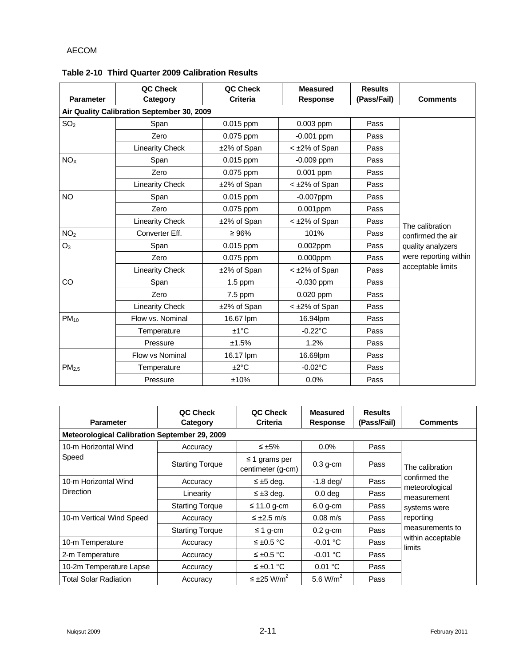| <b>Parameter</b>  | QC Check<br>Category                       | QC Check<br><b>Criteria</b> | <b>Measured</b><br><b>Response</b> | <b>Results</b><br>(Pass/Fail) | <b>Comments</b>       |
|-------------------|--------------------------------------------|-----------------------------|------------------------------------|-------------------------------|-----------------------|
|                   | Air Quality Calibration September 30, 2009 |                             |                                    |                               |                       |
| SO <sub>2</sub>   | Span                                       | 0.015 ppm                   | 0.003 ppm                          | Pass                          |                       |
|                   | Zero                                       | 0.075 ppm                   | $-0.001$ ppm                       | Pass                          |                       |
|                   | <b>Linearity Check</b>                     | ±2% of Span                 | < ±2% of Span                      | Pass                          |                       |
| NO <sub>X</sub>   | Span                                       | 0.015 ppm                   | $-0.009$ ppm                       | Pass                          |                       |
|                   | Zero                                       | 0.075 ppm                   | 0.001 ppm                          | Pass                          |                       |
|                   | <b>Linearity Check</b>                     | ±2% of Span                 | < ±2% of Span                      | Pass                          |                       |
| <b>NO</b>         | Span                                       | $0.015$ ppm                 | $-0.007$ ppm                       | Pass                          |                       |
|                   | Zero                                       | 0.075 ppm                   | $0.001$ ppm                        | Pass                          |                       |
|                   | <b>Linearity Check</b>                     | ±2% of Span                 | < ±2% of Span                      | Pass                          | The calibration       |
| NO <sub>2</sub>   | Converter Eff.                             | $\geq 96\%$                 | 101%                               | Pass                          | confirmed the air     |
| O <sub>3</sub>    | Span                                       | 0.015 ppm                   | $0.002$ ppm                        | Pass                          | quality analyzers     |
|                   | Zero                                       | 0.075 ppm                   | $0.000$ ppm                        | Pass                          | were reporting within |
|                   | <b>Linearity Check</b>                     | ±2% of Span                 | < ±2% of Span                      | Pass                          | acceptable limits     |
| CO                | Span                                       | $1.5$ ppm                   | $-0.030$ ppm                       | Pass                          |                       |
|                   | Zero                                       | 7.5 ppm                     | 0.020 ppm                          | Pass                          |                       |
|                   | <b>Linearity Check</b>                     | ±2% of Span                 | < ±2% of Span                      | Pass                          |                       |
| $PM_{10}$         | Flow vs. Nominal                           | 16.67 lpm                   | 16.94lpm                           | Pass                          |                       |
|                   | Temperature                                | $±1^{\circ}C$               | $-0.22^{\circ}$ C                  | Pass                          |                       |
|                   | Pressure                                   | ±1.5%                       | 1.2%                               | Pass                          |                       |
|                   | Flow vs Nominal                            | 16.17 lpm                   | 16.69lpm                           | Pass                          |                       |
| PM <sub>2.5</sub> | Temperature                                | ±2°C                        | $-0.02$ °C                         | Pass                          |                       |
|                   | Pressure                                   | ±10%                        | 0.0%                               | Pass                          |                       |

## **Table 2-10 Third Quarter 2009 Calibration Results**

| <b>Parameter</b>                                     | QC Check<br>Category   | QC Check<br><b>Criteria</b>           | <b>Measured</b><br><b>Response</b> | <b>Results</b><br>(Pass/Fail) | <b>Comments</b>               |  |  |  |
|------------------------------------------------------|------------------------|---------------------------------------|------------------------------------|-------------------------------|-------------------------------|--|--|--|
| <b>Meteorological Calibration September 29, 2009</b> |                        |                                       |                                    |                               |                               |  |  |  |
| 10-m Horizontal Wind                                 | Accuracy               | $\leq \pm 5\%$                        | $0.0\%$                            | Pass                          |                               |  |  |  |
| Speed                                                | <b>Starting Torque</b> | grams per<br>≤ 1<br>centimeter (q-cm) | $0.3$ g-cm                         | Pass                          | The calibration               |  |  |  |
| 10-m Horizontal Wind                                 | Accuracy               | $\leq \pm 5$ deg.                     | $-1.8$ deg/                        | Pass                          | confirmed the                 |  |  |  |
| <b>Direction</b>                                     | Linearity              | $\leq \pm 3$ deg.                     | 0.0 <sub>deq</sub>                 | Pass                          | meteorological<br>measurement |  |  |  |
|                                                      | <b>Starting Torque</b> | $\leq$ 11.0 g-cm                      | $6.0$ q-cm                         | Pass                          | systems were                  |  |  |  |
| 10-m Vertical Wind Speed                             | Accuracy               | $\leq \pm 2.5$ m/s                    | $0.08 \text{ m/s}$                 | Pass                          | reporting                     |  |  |  |
|                                                      | <b>Starting Torque</b> | ≤ 1 g-cm                              | $0.2$ g-cm                         | Pass                          | measurements to               |  |  |  |
| 10-m Temperature                                     | Accuracy               | $\leq \pm 0.5$ °C                     | $-0.01$ °C                         | Pass                          | within acceptable<br>limits   |  |  |  |
| 2-m Temperature                                      | Accuracy               | $\leq \pm 0.5$ °C                     | $-0.01$ °C                         | Pass                          |                               |  |  |  |
| 10-2m Temperature Lapse                              | Accuracy               | $\leq \pm 0.1$ °C                     | 0.01 °C                            | Pass                          |                               |  |  |  |
| <b>Total Solar Radiation</b>                         | Accuracy               | $\leq \pm 25$ W/m <sup>2</sup>        | 5.6 $W/m^2$                        | Pass                          |                               |  |  |  |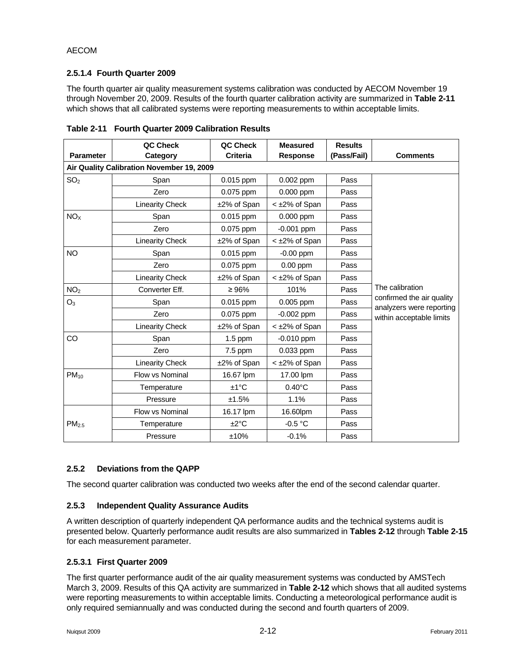#### **2.5.1.4 Fourth Quarter 2009**

The fourth quarter air quality measurement systems calibration was conducted by AECOM November 19 through November 20, 2009. Results of the fourth quarter calibration activity are summarized in **Table 2-11**  which shows that all calibrated systems were reporting measurements to within acceptable limits.

| <b>Parameter</b>                          | QC Check<br>Category   | QC Check<br><b>Criteria</b> | <b>Measured</b><br><b>Response</b> | <b>Results</b><br>(Pass/Fail) | <b>Comments</b>                                       |  |  |
|-------------------------------------------|------------------------|-----------------------------|------------------------------------|-------------------------------|-------------------------------------------------------|--|--|
| Air Quality Calibration November 19, 2009 |                        |                             |                                    |                               |                                                       |  |  |
| SO <sub>2</sub>                           | Span                   | $0.015$ ppm                 | 0.002 ppm                          | Pass                          |                                                       |  |  |
|                                           | Zero                   | 0.075 ppm                   | 0.000 ppm                          | Pass                          |                                                       |  |  |
|                                           | <b>Linearity Check</b> | ±2% of Span                 | < ±2% of Span                      | Pass                          |                                                       |  |  |
| NO <sub>X</sub>                           | Span                   | $0.015$ ppm                 | 0.000 ppm                          | Pass                          |                                                       |  |  |
|                                           | Zero                   | 0.075 ppm                   | $-0.001$ ppm                       | Pass                          |                                                       |  |  |
|                                           | <b>Linearity Check</b> | ±2% of Span                 | $<$ $\pm$ 2% of Span               | Pass                          |                                                       |  |  |
| <b>NO</b>                                 | Span                   | 0.015 ppm                   | $-0.00$ ppm                        | Pass                          |                                                       |  |  |
|                                           | Zero                   | 0.075 ppm                   | $0.00$ ppm                         | Pass                          |                                                       |  |  |
|                                           | <b>Linearity Check</b> | ±2% of Span                 | $<$ $\pm$ 2% of Span               | Pass                          |                                                       |  |  |
| NO <sub>2</sub>                           | Converter Eff.         | $\geq 96\%$                 | 101%                               | Pass                          | The calibration                                       |  |  |
| O <sub>3</sub>                            | Span                   | 0.015 ppm                   | 0.005 ppm                          | Pass                          | confirmed the air quality<br>analyzers were reporting |  |  |
|                                           | Zero                   | 0.075 ppm                   | $-0.002$ ppm                       | Pass                          | within acceptable limits                              |  |  |
|                                           | <b>Linearity Check</b> | ±2% of Span                 | < ±2% of Span                      | Pass                          |                                                       |  |  |
| CO                                        | Span                   | $1.5$ ppm                   | $-0.010$ ppm                       | Pass                          |                                                       |  |  |
|                                           | Zero                   | 7.5 ppm                     | 0.033 ppm                          | Pass                          |                                                       |  |  |
|                                           | <b>Linearity Check</b> | ±2% of Span                 | < ±2% of Span                      | Pass                          |                                                       |  |  |
| $PM_{10}$                                 | Flow vs Nominal        | 16.67 lpm                   | 17.00 lpm                          | Pass                          |                                                       |  |  |
|                                           | Temperature            | $±1^{\circ}C$               | $0.40^{\circ}$ C                   | Pass                          |                                                       |  |  |
|                                           | Pressure               | ±1.5%                       | 1.1%                               | Pass                          |                                                       |  |  |
|                                           | Flow vs Nominal        | 16.17 lpm                   | 16.60lpm                           | Pass                          |                                                       |  |  |
| PM <sub>2.5</sub>                         | Temperature            | ±2°C                        | $-0.5 °C$                          | Pass                          |                                                       |  |  |
|                                           | Pressure               | ±10%                        | $-0.1%$                            | Pass                          |                                                       |  |  |

**Table 2-11 Fourth Quarter 2009 Calibration Results** 

#### **2.5.2 Deviations from the QAPP**

The second quarter calibration was conducted two weeks after the end of the second calendar quarter.

#### **2.5.3 Independent Quality Assurance Audits**

A written description of quarterly independent QA performance audits and the technical systems audit is presented below. Quarterly performance audit results are also summarized in **Tables 2-12** through **Table 2-15** for each measurement parameter.

#### **2.5.3.1 First Quarter 2009**

The first quarter performance audit of the air quality measurement systems was conducted by AMSTech March 3, 2009. Results of this QA activity are summarized in **Table 2-12** which shows that all audited systems were reporting measurements to within acceptable limits. Conducting a meteorological performance audit is only required semiannually and was conducted during the second and fourth quarters of 2009.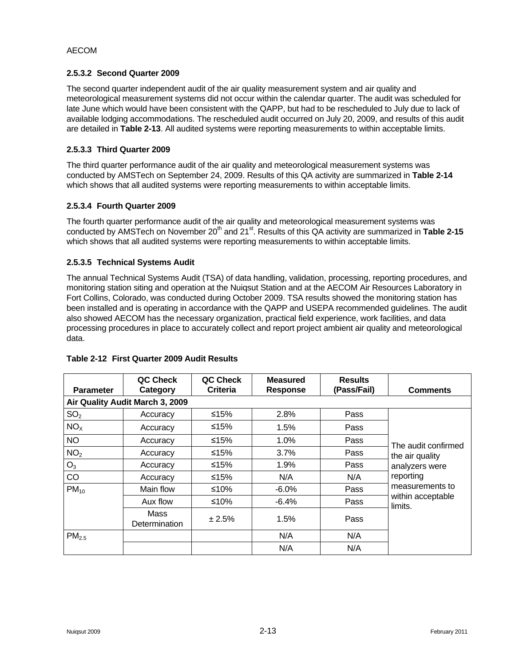#### **2.5.3.2 Second Quarter 2009**

The second quarter independent audit of the air quality measurement system and air quality and meteorological measurement systems did not occur within the calendar quarter. The audit was scheduled for late June which would have been consistent with the QAPP, but had to be rescheduled to July due to lack of available lodging accommodations. The rescheduled audit occurred on July 20, 2009, and results of this audit are detailed in **Table 2-13**. All audited systems were reporting measurements to within acceptable limits.

## **2.5.3.3 Third Quarter 2009**

The third quarter performance audit of the air quality and meteorological measurement systems was conducted by AMSTech on September 24, 2009. Results of this QA activity are summarized in **Table 2-14** which shows that all audited systems were reporting measurements to within acceptable limits.

## **2.5.3.4 Fourth Quarter 2009**

The fourth quarter performance audit of the air quality and meteorological measurement systems was conducted by AMSTech on November 20<sup>th</sup> and 21<sup>st</sup>. Results of this QA activity are summarized in Table 2-15 which shows that all audited systems were reporting measurements to within acceptable limits.

## **2.5.3.5 Technical Systems Audit**

The annual Technical Systems Audit (TSA) of data handling, validation, processing, reporting procedures, and monitoring station siting and operation at the Nuiqsut Station and at the AECOM Air Resources Laboratory in Fort Collins, Colorado, was conducted during October 2009. TSA results showed the monitoring station has been installed and is operating in accordance with the QAPP and USEPA recommended guidelines. The audit also showed AECOM has the necessary organization, practical field experience, work facilities, and data processing procedures in place to accurately collect and report project ambient air quality and meteorological data.

| <b>Parameter</b>  | QC Check<br>Category            | QC Check<br>Criteria | <b>Measured</b><br>Response | <b>Results</b><br>(Pass/Fail) | <b>Comments</b>              |
|-------------------|---------------------------------|----------------------|-----------------------------|-------------------------------|------------------------------|
|                   | Air Quality Audit March 3, 2009 |                      |                             |                               |                              |
| SO <sub>2</sub>   | Accuracy                        | ≤15%                 | 2.8%                        | Pass                          |                              |
| NO <sub>x</sub>   | Accuracy                        | ≤15%                 | 1.5%                        | Pass                          |                              |
| <b>NO</b>         | Accuracy                        | ≤15%                 | 1.0%                        | Pass                          | The audit confirmed          |
| NO <sub>2</sub>   | Accuracy                        | ≤15%                 | 3.7%                        | Pass                          | the air quality              |
| $O_3$             | Accuracy                        | ≤15%                 | 1.9%                        | Pass                          | analyzers were               |
| CO                | Accuracy                        | ≤15%                 | N/A                         | N/A                           | reporting                    |
| $PM_{10}$         | Main flow                       | ≤10%                 | $-6.0\%$                    | Pass                          | measurements to              |
|                   | Aux flow                        | ≤10%                 | $-6.4%$                     | Pass                          | within acceptable<br>limits. |
|                   | Mass<br><b>Determination</b>    | ± 2.5%               | 1.5%                        | Pass                          |                              |
| PM <sub>2.5</sub> |                                 |                      | N/A                         | N/A                           |                              |
|                   |                                 |                      | N/A                         | N/A                           |                              |

#### **Table 2-12 First Quarter 2009 Audit Results**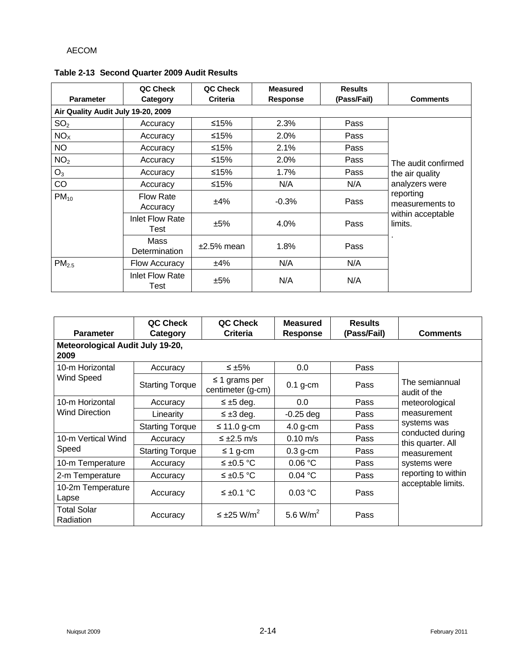| <b>Parameter</b>                   | QC Check<br>Category           | QC Check<br><b>Criteria</b> | <b>Measured</b><br>Response | <b>Results</b><br>(Pass/Fail) | <b>Comments</b>              |
|------------------------------------|--------------------------------|-----------------------------|-----------------------------|-------------------------------|------------------------------|
| Air Quality Audit July 19-20, 2009 |                                |                             |                             |                               |                              |
| SO <sub>2</sub>                    | Accuracy                       | ≤15%                        | 2.3%                        | Pass                          |                              |
| NO <sub>x</sub>                    | Accuracy                       | ≤15%                        | 2.0%                        | Pass                          |                              |
| NO                                 | Accuracy                       | ≤15%                        | 2.1%                        | Pass                          |                              |
| NO <sub>2</sub>                    | Accuracy                       | ≤15%                        | 2.0%                        | Pass                          | The audit confirmed          |
| $O_3$                              | Accuracy                       | ≤15%                        | 1.7%                        | Pass                          | the air quality              |
| CO                                 | Accuracy                       | ≤15%                        | N/A                         | N/A                           | analyzers were               |
| $PM_{10}$                          | <b>Flow Rate</b><br>Accuracy   | ±4%                         | $-0.3%$                     | Pass                          | reporting<br>measurements to |
|                                    | Inlet Flow Rate<br>Test        | ±5%                         | 4.0%                        | Pass                          | within acceptable<br>limits. |
|                                    | Mass<br>Determination          | $±2.5\%$ mean               | 1.8%                        | Pass                          |                              |
| PM <sub>2.5</sub>                  | Flow Accuracy                  | ±4%                         | N/A                         | N/A                           |                              |
|                                    | <b>Inlet Flow Rate</b><br>Test | ±5%                         | N/A                         | N/A                           |                              |

#### **Table 2-13 Second Quarter 2009 Audit Results**

| <b>Parameter</b>                         | QC Check<br>Category   | QC Check<br><b>Criteria</b>             | <b>Measured</b><br><b>Response</b> | <b>Results</b><br>(Pass/Fail) | <b>Comments</b>                                                     |  |  |  |
|------------------------------------------|------------------------|-----------------------------------------|------------------------------------|-------------------------------|---------------------------------------------------------------------|--|--|--|
| Meteorological Audit July 19-20,<br>2009 |                        |                                         |                                    |                               |                                                                     |  |  |  |
| 10-m Horizontal                          | Accuracy               | ≤ $±5%$                                 | 0.0                                | Pass                          |                                                                     |  |  |  |
| Wind Speed                               | <b>Starting Torque</b> | $\leq$ 1 grams per<br>centimeter (g-cm) | $0.1$ g-cm                         | Pass                          | The semiannual<br>audit of the                                      |  |  |  |
| 10-m Horizontal                          | Accuracy               | $\leq \pm 5$ deg.                       | 0.0                                | Pass                          | meteorological                                                      |  |  |  |
| <b>Wind Direction</b>                    | Linearity              | $\leq \pm 3$ deg.                       | $-0.25$ deg                        | Pass                          | measurement<br>systems was<br>conducted during<br>this quarter. All |  |  |  |
|                                          | <b>Starting Torque</b> | $\leq$ 11.0 g-cm                        | $4.0$ g-cm                         | Pass                          |                                                                     |  |  |  |
| 10-m Vertical Wind                       | Accuracy               | $\leq \pm 2.5$ m/s                      | $0.10 \text{ m/s}$                 | Pass                          |                                                                     |  |  |  |
| Speed                                    | <b>Starting Torque</b> | $\leq$ 1 g-cm                           | $0.3$ g-cm                         | Pass                          | measurement                                                         |  |  |  |
| 10-m Temperature                         | Accuracy               | ≤ ±0.5 °C                               | 0.06 °C                            | Pass                          | systems were                                                        |  |  |  |
| 2-m Temperature                          | Accuracy               | ≤ ±0.5 °C                               | 0.04 °C                            | Pass                          | reporting to within                                                 |  |  |  |
| 10-2m Temperature<br>Lapse               | Accuracy               | $≤$ ±0.1 °C                             | 0.03 °C                            | Pass                          | acceptable limits.                                                  |  |  |  |
| <b>Total Solar</b><br>Radiation          | Accuracy               | $\leq \pm 25$ W/m <sup>2</sup>          | 5.6 $W/m^2$                        | Pass                          |                                                                     |  |  |  |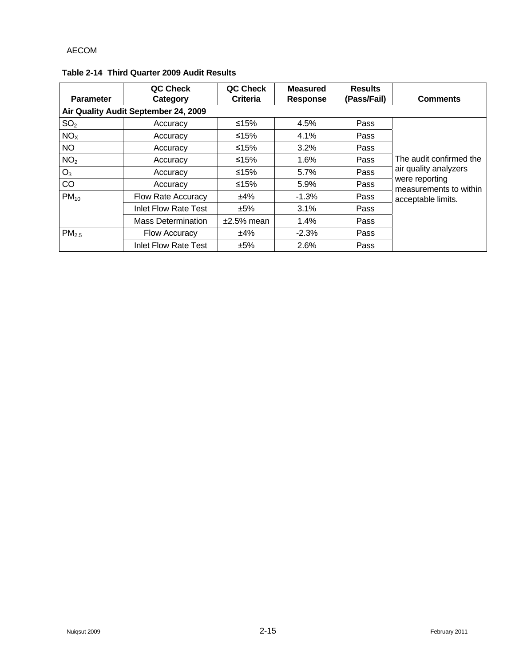| <b>Parameter</b>  | QC Check<br>Category                 | QC Check<br><b>Criteria</b> | <b>Measured</b><br><b>Response</b> | <b>Results</b><br>(Pass/Fail) | <b>Comments</b>                          |
|-------------------|--------------------------------------|-----------------------------|------------------------------------|-------------------------------|------------------------------------------|
|                   | Air Quality Audit September 24, 2009 |                             |                                    |                               |                                          |
| SO <sub>2</sub>   | Accuracy                             | ≤15%                        | 4.5%                               | Pass                          |                                          |
| NO <sub>x</sub>   | Accuracy                             | $≤15%$                      | 4.1%                               | Pass                          |                                          |
| <b>NO</b>         | Accuracy                             | ≤15%                        | $3.2\%$                            | Pass                          |                                          |
| NO <sub>2</sub>   | Accuracy                             | ≤15%                        | 1.6%                               | Pass                          | The audit confirmed the                  |
| $O_3$             | Accuracy                             | $≤15%$                      | 5.7%                               | Pass                          | air quality analyzers                    |
| CO                | Accuracy                             | ≤15%                        | 5.9%                               | Pass                          | were reporting<br>measurements to within |
| $PM_{10}$         | Flow Rate Accuracy                   | ±4%                         | $-1.3%$                            | Pass                          | acceptable limits.                       |
|                   | <b>Inlet Flow Rate Test</b>          | ±5%                         | 3.1%                               | Pass                          |                                          |
|                   | <b>Mass Determination</b>            | $±2.5%$ mean                | 1.4%                               | Pass                          |                                          |
| PM <sub>2.5</sub> | <b>Flow Accuracy</b>                 | ±4%                         | $-2.3%$                            | Pass                          |                                          |
|                   | <b>Inlet Flow Rate Test</b>          | ±5%                         | 2.6%                               | Pass                          |                                          |

## **Table 2-14 Third Quarter 2009 Audit Results**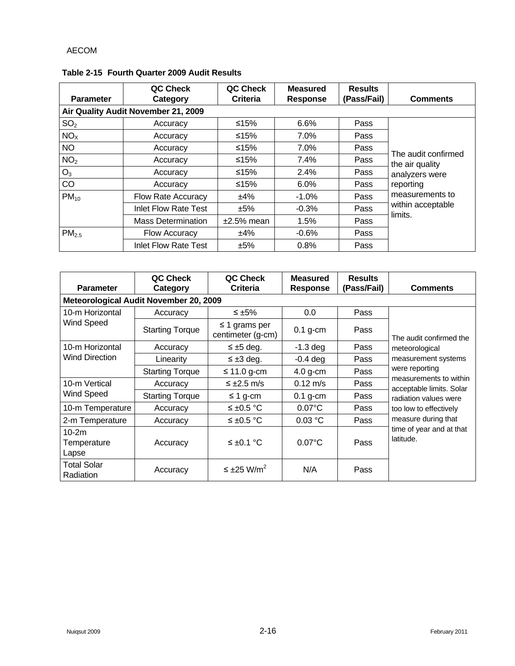| <b>Parameter</b>  | QC Check<br>Category                | QC Check<br>Criteria | <b>Measured</b><br><b>Response</b> | <b>Results</b><br>(Pass/Fail) | <b>Comments</b>              |
|-------------------|-------------------------------------|----------------------|------------------------------------|-------------------------------|------------------------------|
|                   | Air Quality Audit November 21, 2009 |                      |                                    |                               |                              |
| SO <sub>2</sub>   | Accuracy                            | ≤15%                 | 6.6%                               | Pass                          |                              |
| NO <sub>x</sub>   | Accuracy                            | ≤15%                 | 7.0%                               | Pass                          |                              |
| <b>NO</b>         | Accuracy                            | ≤15%                 | $7.0\%$                            | Pass                          | The audit confirmed          |
| NO <sub>2</sub>   | Accuracy                            | ≤15%                 | 7.4%                               | Pass                          | the air quality              |
| $O_3$             | Accuracy                            | ≤15%                 | 2.4%                               | Pass                          | analyzers were               |
| CO                | Accuracy                            | ≤15%                 | $6.0\%$                            | Pass                          | reporting                    |
| $PM_{10}$         | Flow Rate Accuracy                  | ±4%                  | $-1.0\%$                           | Pass                          | measurements to              |
|                   | Inlet Flow Rate Test                | ±5%                  | $-0.3%$                            | Pass                          | within acceptable<br>limits. |
|                   | <b>Mass Determination</b>           | $±2.5\%$ mean        | 1.5%                               | Pass                          |                              |
| PM <sub>2.5</sub> | <b>Flow Accuracy</b>                | ±4%                  | $-0.6%$                            | Pass                          |                              |
|                   | Inlet Flow Rate Test                | ±5%                  | 0.8%                               | Pass                          |                              |

## **Table 2-15 Fourth Quarter 2009 Audit Results**

| <b>Parameter</b>                                                                           | QC Check<br>Category   | QC Check<br><b>Criteria</b>             | <b>Measured</b><br>Response | <b>Results</b><br>(Pass/Fail) | <b>Comments</b>                                                                             |  |  |
|--------------------------------------------------------------------------------------------|------------------------|-----------------------------------------|-----------------------------|-------------------------------|---------------------------------------------------------------------------------------------|--|--|
| Meteorological Audit November 20, 2009                                                     |                        |                                         |                             |                               |                                                                                             |  |  |
| 10-m Horizontal<br>Wind Speed<br>10-m Horizontal<br><b>Wind Direction</b><br>10-m Vertical | Accuracy               | ≤ $±5\%$                                | 0.0                         | Pass                          |                                                                                             |  |  |
|                                                                                            | <b>Starting Torque</b> | $\leq$ 1 grams per<br>centimeter (g-cm) | $0.1$ g-cm                  | Pass                          | The audit confirmed the                                                                     |  |  |
|                                                                                            | Accuracy               | $\leq \pm 5$ deg.                       | $-1.3$ deg                  | Pass                          | meteorological                                                                              |  |  |
|                                                                                            | Linearity              | $\leq \pm 3$ deg.                       | $-0.4$ deg                  | Pass                          | measurement systems<br>were reporting<br>measurements to within<br>acceptable limits. Solar |  |  |
|                                                                                            | <b>Starting Torque</b> | $\leq$ 11.0 g-cm                        | $4.0$ g-cm                  | Pass                          |                                                                                             |  |  |
|                                                                                            | Accuracy               | $≤ ±2.5$ m/s                            | $0.12 \text{ m/s}$          | Pass                          |                                                                                             |  |  |
| Wind Speed                                                                                 | <b>Starting Torque</b> | $\leq$ 1 g-cm                           | $0.1$ g-cm                  | Pass                          | radiation values were                                                                       |  |  |
| 10-m Temperature                                                                           | Accuracy               | ≤ ±0.5 °C                               | $0.07$ °C                   | Pass                          | too low to effectively                                                                      |  |  |
| 2-m Temperature                                                                            | Accuracy               | ≤ ±0.5 °C                               | 0.03 °C                     | Pass                          | measure during that                                                                         |  |  |
| $10-2m$<br>Temperature<br>Lapse                                                            | Accuracy               | ≤ ±0.1 °C                               | $0.07$ °C                   | Pass                          | time of year and at that<br>latitude.                                                       |  |  |
| <b>Total Solar</b><br>Radiation                                                            | Accuracy               | $\leq \pm 25$ W/m <sup>2</sup>          | N/A                         | Pass                          |                                                                                             |  |  |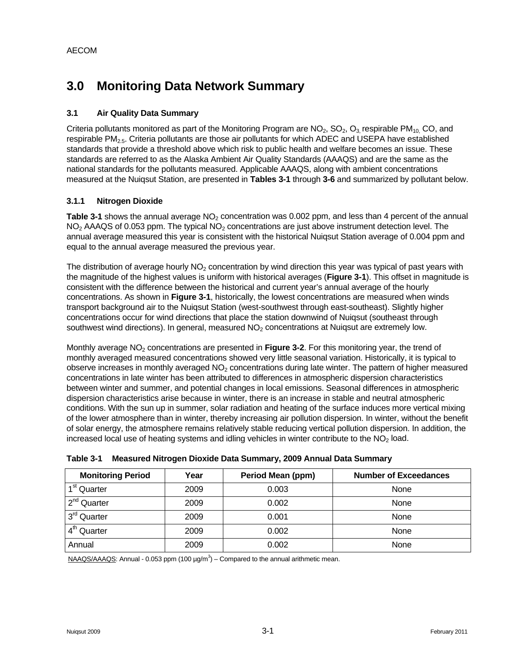# **3.0 Monitoring Data Network Summary**

## **3.1 Air Quality Data Summary**

Criteria pollutants monitored as part of the Monitoring Program are  $NO_2$ ,  $SO_2$ ,  $O_3$  respirable PM<sub>10</sub>, CO, and respirable PM<sub>2.5</sub>. Criteria pollutants are those air pollutants for which ADEC and USEPA have established standards that provide a threshold above which risk to public health and welfare becomes an issue. These standards are referred to as the Alaska Ambient Air Quality Standards (AAAQS) and are the same as the national standards for the pollutants measured. Applicable AAAQS, along with ambient concentrations measured at the Nuiqsut Station, are presented in **Tables 3-1** through **3-6** and summarized by pollutant below.

## **3.1.1 Nitrogen Dioxide**

**Table 3-1** shows the annual average NO<sub>2</sub> concentration was 0.002 ppm, and less than 4 percent of the annual  $NO<sub>2</sub>$  AAAQS of 0.053 ppm. The typical  $NO<sub>2</sub>$  concentrations are just above instrument detection level. The annual average measured this year is consistent with the historical Nuiqsut Station average of 0.004 ppm and equal to the annual average measured the previous year.

The distribution of average hourly  $NO<sub>2</sub>$  concentration by wind direction this year was typical of past years with the magnitude of the highest values is uniform with historical averages (**Figure 3-1**). This offset in magnitude is consistent with the difference between the historical and current year's annual average of the hourly concentrations. As shown in **Figure 3-1**, historically, the lowest concentrations are measured when winds transport background air to the Nuiqsut Station (west-southwest through east-southeast). Slightly higher concentrations occur for wind directions that place the station downwind of Nuiqsut (southeast through southwest wind directions). In general, measured NO<sub>2</sub> concentrations at Nuiqsut are extremely low.

Monthly average NO<sub>2</sub> concentrations are presented in **Figure 3-2**. For this monitoring year, the trend of monthly averaged measured concentrations showed very little seasonal variation. Historically, it is typical to observe increases in monthly averaged  $NO<sub>2</sub>$  concentrations during late winter. The pattern of higher measured concentrations in late winter has been attributed to differences in atmospheric dispersion characteristics between winter and summer, and potential changes in local emissions. Seasonal differences in atmospheric dispersion characteristics arise because in winter, there is an increase in stable and neutral atmospheric conditions. With the sun up in summer, solar radiation and heating of the surface induces more vertical mixing of the lower atmosphere than in winter, thereby increasing air pollution dispersion. In winter, without the benefit of solar energy, the atmosphere remains relatively stable reducing vertical pollution dispersion. In addition, the increased local use of heating systems and idling vehicles in winter contribute to the  $NO<sub>2</sub>$  load.

| <b>Monitoring Period</b> | Year | <b>Period Mean (ppm)</b> | <b>Number of Exceedances</b> |
|--------------------------|------|--------------------------|------------------------------|
| 1 <sup>st</sup> Quarter  | 2009 | 0.003                    | None                         |
| 2 <sup>nd</sup> Quarter  | 2009 | 0.002                    | None                         |
| 3 <sup>rd</sup> Quarter  | 2009 | 0.001                    | None                         |
| 4 <sup>th</sup> Quarter  | 2009 | 0.002                    | None                         |
| Annual                   | 2009 | 0.002                    | None                         |

|  |  | Table 3-1 Measured Nitrogen Dioxide Data Summary, 2009 Annual Data Summary |  |
|--|--|----------------------------------------------------------------------------|--|
|--|--|----------------------------------------------------------------------------|--|

 $NAAGS/AAAQS$ : Annual - 0.053 ppm (100  $\mu g/m<sup>3</sup>$ ) – Compared to the annual arithmetic mean.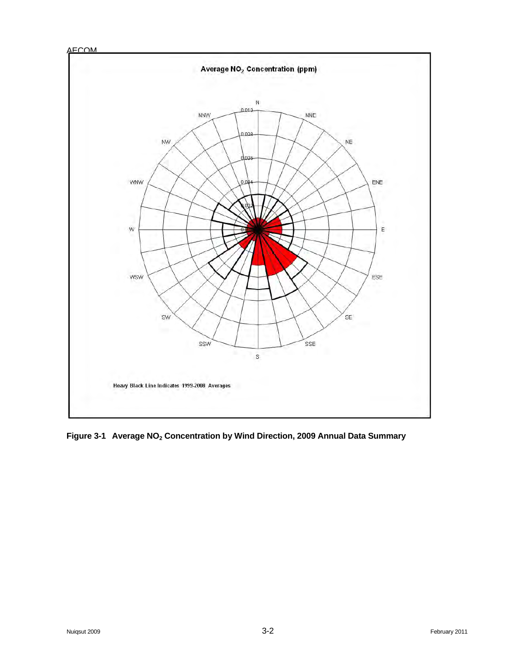



Figure 3-1 Average NO<sub>2</sub> Concentration by Wind Direction, 2009 Annual Data Summary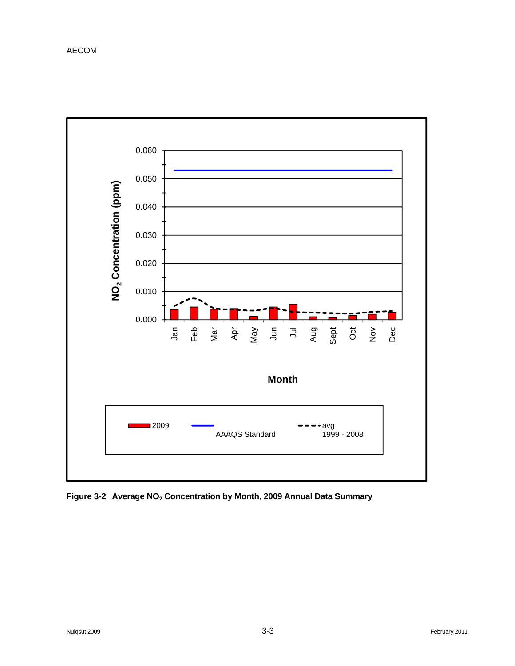

Figure 3-2 Average NO<sub>2</sub> Concentration by Month, 2009 Annual Data Summary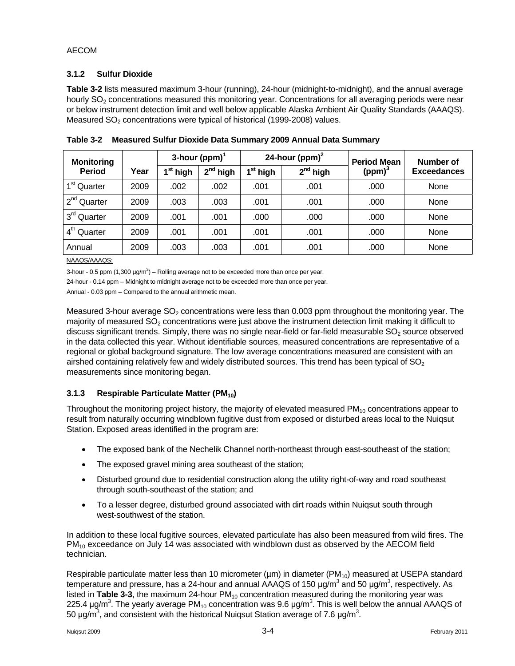## **3.1.2 Sulfur Dioxide**

**Table 3-2** lists measured maximum 3-hour (running), 24-hour (midnight-to-midnight), and the annual average hourly  $SO<sub>2</sub>$  concentrations measured this monitoring year. Concentrations for all averaging periods were near or below instrument detection limit and well below applicable Alaska Ambient Air Quality Standards (AAAQS). Measured SO<sub>2</sub> concentrations were typical of historical (1999-2008) values.

| <b>Monitoring</b>       |      | 3-hour (ppm) $^1$    |            |                      | 24-hour (ppm) $2$ | <b>Period Mean</b> | Number of          |
|-------------------------|------|----------------------|------------|----------------------|-------------------|--------------------|--------------------|
| <b>Period</b>           | Year | I <sup>st</sup> high | $2nd$ high | l <sup>st</sup> high | $2^{nd}$ high     | (ppm) <sup>3</sup> | <b>Exceedances</b> |
| 1 <sup>st</sup> Quarter | 2009 | .002                 | .002       | .001                 | .001              | .000               | None               |
| 2 <sup>nd</sup> Quarter | 2009 | .003                 | .003       | .001                 | .001              | .000               | None               |
| 3 <sup>rd</sup> Quarter | 2009 | .001                 | .001       | .000                 | .000              | .000               | None               |
| 4 <sup>th</sup> Quarter | 2009 | .001                 | .001       | .001                 | .001              | .000               | None               |
| Annual                  | 2009 | .003                 | .003       | .001                 | .001              | .000               | None               |

**Table 3-2 Measured Sulfur Dioxide Data Summary 2009 Annual Data Summary** 

NAAQS/AAAQS:

3-hour - 0.5 ppm  $(1,300 \text{ }\mu\text{g/m}^3)$  – Rolling average not to be exceeded more than once per year.

24-hour - 0.14 ppm – Midnight to midnight average not to be exceeded more than once per year.

Annual - 0.03 ppm – Compared to the annual arithmetic mean.

Measured 3-hour average  $SO<sub>2</sub>$  concentrations were less than 0.003 ppm throughout the monitoring year. The majority of measured  $SO<sub>2</sub>$  concentrations were just above the instrument detection limit making it difficult to discuss significant trends. Simply, there was no single near-field or far-field measurable  $SO<sub>2</sub>$  source observed in the data collected this year. Without identifiable sources, measured concentrations are representative of a regional or global background signature. The low average concentrations measured are consistent with an airshed containing relatively few and widely distributed sources. This trend has been typical of  $SO<sub>2</sub>$ measurements since monitoring began.

# **3.1.3** Respirable Particulate Matter (PM<sub>10</sub>)

Throughout the monitoring project history, the majority of elevated measured  $PM<sub>10</sub>$  concentrations appear to result from naturally occurring windblown fugitive dust from exposed or disturbed areas local to the Nuiqsut Station. Exposed areas identified in the program are:

- The exposed bank of the Nechelik Channel north-northeast through east-southeast of the station;
- The exposed gravel mining area southeast of the station;
- Disturbed ground due to residential construction along the utility right-of-way and road southeast through south-southeast of the station; and
- To a lesser degree, disturbed ground associated with dirt roads within Nuiqsut south through west-southwest of the station.

In addition to these local fugitive sources, elevated particulate has also been measured from wild fires. The  $PM_{10}$  exceedance on July 14 was associated with windblown dust as observed by the AECOM field technician.

Respirable particulate matter less than 10 micrometer ( $\mu$ m) in diameter ( $PM_{10}$ ) measured at USEPA standard temperature and pressure, has a 24-hour and annual AAAQS of 150  $\mu$ g/m<sup>3</sup> and 50  $\mu$ g/m<sup>3</sup>, respectively. As listed in **Table 3-3**, the maximum 24-hour PM<sub>10</sub> concentration measured during the monitoring year was 225.4 μg/m<sup>3</sup>. The yearly average PM<sub>10</sub> concentration was 9.6 μg/m<sup>3</sup>. This is well below the annual AAAQS of 50 μg/m<sup>3</sup>, and consistent with the historical Nuiqsut Station average of 7.6 μg/m<sup>3</sup>.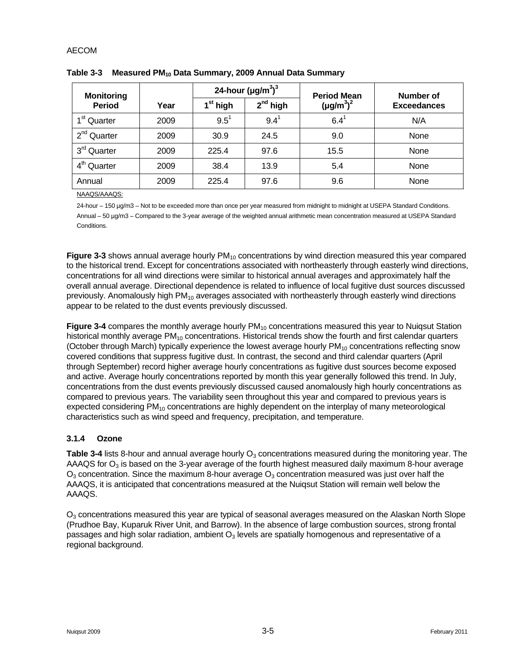| <b>Monitoring</b>       |      |                      | 24-hour $(\mu g/m^3)^3$ | <b>Period Mean</b> | Number of          |  |
|-------------------------|------|----------------------|-------------------------|--------------------|--------------------|--|
| <b>Period</b>           | Year | 1 <sup>st</sup> high | $2^{nd}$ high           | $(\mu g/m^3)^2$    | <b>Exceedances</b> |  |
| 1 <sup>st</sup> Quarter | 2009 | $9.5^1$              | $9.4^{\circ}$           | $6.4^{\circ}$      | N/A                |  |
| 2 <sup>nd</sup> Quarter | 2009 | 30.9                 | 24.5                    | 9.0                | <b>None</b>        |  |
| 3 <sup>rd</sup> Quarter | 2009 | 225.4                | 97.6                    | 15.5               | None               |  |
| 4 <sup>th</sup> Quarter | 2009 | 38.4                 | 13.9                    | 5.4                | None               |  |
| Annual                  | 2009 | 225.4                | 97.6                    | 9.6                | None               |  |

Table 3-3 Measured PM<sub>10</sub> Data Summary, 2009 Annual Data Summary

NAAQS/AAAQS:

24-hour – 150 µg/m3 – Not to be exceeded more than once per year measured from midnight to midnight at USEPA Standard Conditions. Annual – 50 µg/m3 – Compared to the 3-year average of the weighted annual arithmetic mean concentration measured at USEPA Standard Conditions.

**Figure 3-3** shows annual average hourly PM<sub>10</sub> concentrations by wind direction measured this year compared to the historical trend. Except for concentrations associated with northeasterly through easterly wind directions, concentrations for all wind directions were similar to historical annual averages and approximately half the overall annual average. Directional dependence is related to influence of local fugitive dust sources discussed previously. Anomalously high PM<sub>10</sub> averages associated with northeasterly through easterly wind directions appear to be related to the dust events previously discussed.

**Figure 3-4** compares the monthly average hourly PM<sub>10</sub> concentrations measured this year to Nuiqsut Station historical monthly average  $PM_{10}$  concentrations. Historical trends show the fourth and first calendar quarters (October through March) typically experience the lowest average hourly  $PM_{10}$  concentrations reflecting snow covered conditions that suppress fugitive dust. In contrast, the second and third calendar quarters (April through September) record higher average hourly concentrations as fugitive dust sources become exposed and active. Average hourly concentrations reported by month this year generally followed this trend. In July, concentrations from the dust events previously discussed caused anomalously high hourly concentrations as compared to previous years. The variability seen throughout this year and compared to previous years is expected considering  $PM_{10}$  concentrations are highly dependent on the interplay of many meteorological characteristics such as wind speed and frequency, precipitation, and temperature.

#### **3.1.4 Ozone**

**Table 3-4** lists 8-hour and annual average hourly  $O<sub>3</sub>$  concentrations measured during the monitoring year. The AAAQS for  $O_3$  is based on the 3-year average of the fourth highest measured daily maximum 8-hour average  $O_3$  concentration. Since the maximum 8-hour average  $O_3$  concentration measured was just over half the AAAQS, it is anticipated that concentrations measured at the Nuiqsut Station will remain well below the AAAQS.

 $O<sub>3</sub>$  concentrations measured this year are typical of seasonal averages measured on the Alaskan North Slope (Prudhoe Bay, Kuparuk River Unit, and Barrow). In the absence of large combustion sources, strong frontal passages and high solar radiation, ambient  $O<sub>3</sub>$  levels are spatially homogenous and representative of a regional background.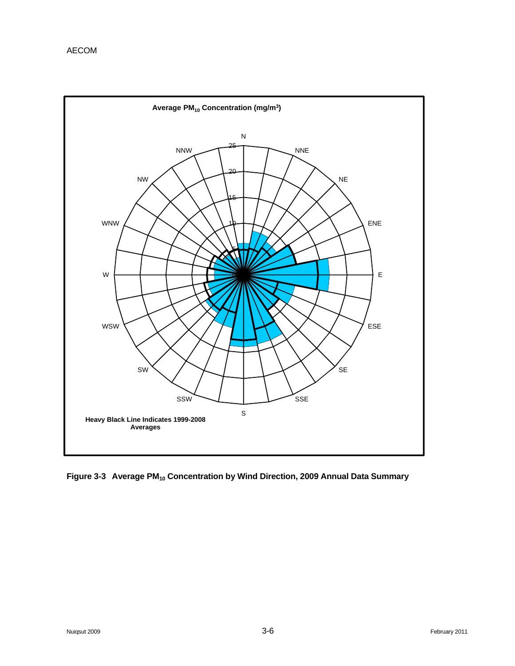![](_page_35_Figure_1.jpeg)

Figure 3-3 Average PM<sub>10</sub> Concentration by Wind Direction, 2009 Annual Data Summary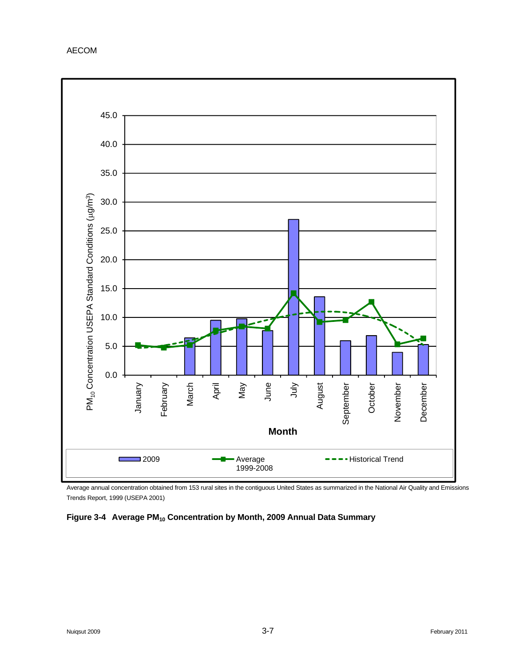![](_page_36_Figure_1.jpeg)

Average annual concentration obtained from 153 rural sites in the contiguous United States as summarized in the National Air Quality and Emissions Trends Report, 1999 (USEPA 2001)

## Figure 3-4 Average PM<sub>10</sub> Concentration by Month, 2009 Annual Data Summary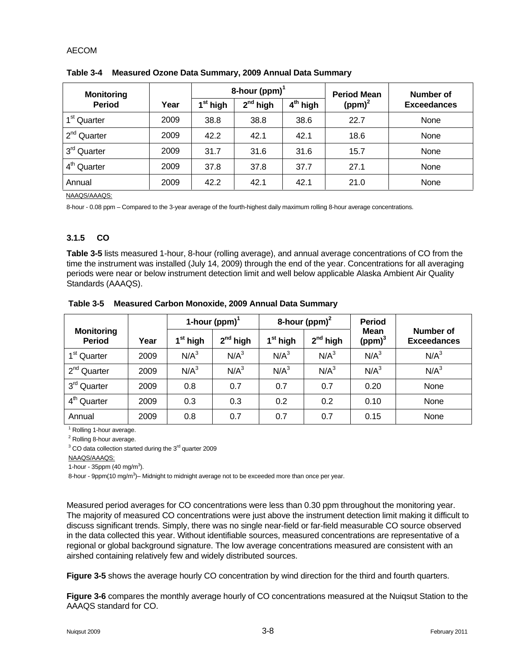| <b>Monitoring</b>       |      |                      | 8-hour (ppm) $^1$                            |      | <b>Period Mean</b> | Number of          |  |
|-------------------------|------|----------------------|----------------------------------------------|------|--------------------|--------------------|--|
| <b>Period</b>           | Year | 1 <sup>st</sup> high | 2 <sup>nd</sup> high<br>4 <sup>th</sup> high |      | (ppm) <sup>2</sup> | <b>Exceedances</b> |  |
| 1 <sup>st</sup> Quarter | 2009 | 38.8                 | 38.8                                         | 38.6 | 22.7               | None               |  |
| $2^{nd}$<br>Quarter     | 2009 | 42.2                 | 42.1                                         | 42.1 | 18.6               | None               |  |
| 3 <sup>rd</sup> Quarter | 2009 | 31.7                 | 31.6                                         | 31.6 | 15.7               | None               |  |
| $4th$ Quarter           | 2009 | 37.8                 | 37.8                                         | 37.7 | 27.1               | None               |  |
| Annual                  | 2009 | 42.2                 | 42.1                                         | 42.1 | 21.0               | None               |  |

**Table 3-4 Measured Ozone Data Summary, 2009 Annual Data Summary** 

NAAQS/AAAQS:

8-hour - 0.08 ppm – Compared to the 3-year average of the fourth-highest daily maximum rolling 8-hour average concentrations.

## **3.1.5 CO**

**Table 3-5** lists measured 1-hour, 8-hour (rolling average), and annual average concentrations of CO from the time the instrument was installed (July 14, 2009) through the end of the year. Concentrations for all averaging periods were near or below instrument detection limit and well below applicable Alaska Ambient Air Quality Standards (AAAQS).

|                                    |      |                  | 1-hour (ppm) $1$ |                  | 8-hour (ppm) $2$ | <b>Period</b>                     |                                 |  |
|------------------------------------|------|------------------|------------------|------------------|------------------|-----------------------------------|---------------------------------|--|
| <b>Monitoring</b><br><b>Period</b> | Year | $1st$ high       | $2^{nd}$ high    | $1st$ high       | $2^{nd}$ high    | <b>Mean</b><br>(ppm) <sup>3</sup> | Number of<br><b>Exceedances</b> |  |
| 1 <sup>st</sup> Quarter            | 2009 | N/A <sup>3</sup> | N/A <sup>3</sup> | N/A <sup>3</sup> | N/A <sup>3</sup> | N/A <sup>3</sup>                  | N/A <sup>3</sup>                |  |
| 2 <sup>nd</sup> Quarter            | 2009 | N/A <sup>3</sup> | N/A <sup>3</sup> | N/A <sup>3</sup> | N/A <sup>3</sup> | N/A <sup>3</sup>                  | N/A <sup>3</sup>                |  |
| 3 <sup>rd</sup> Quarter            | 2009 | 0.8              | 0.7              | 0.7              | 0.7              | 0.20                              | None                            |  |
| 4 <sup>th</sup> Quarter            | 2009 | 0.3              | 0.3              | 0.2              | 0.2              | 0.10                              | None                            |  |
| Annual                             | 2009 | 0.8              | 0.7              | 0.7              | 0.7              | 0.15                              | None                            |  |

**Table 3-5 Measured Carbon Monoxide, 2009 Annual Data Summary** 

<sup>1</sup> Rolling 1-hour average.

<sup>2</sup> Rolling 8-hour average.

 $3$  CO data collection started during the  $3<sup>rd</sup>$  quarter 2009

NAAQS/AAAQS:

1-hour - 35ppm  $(40 \text{ mg/m}^3)$ .

8-hour - 9ppm(10 mg/m<sup>3</sup>)– Midnight to midnight average not to be exceeded more than once per year.

Measured period averages for CO concentrations were less than 0.30 ppm throughout the monitoring year. The majority of measured CO concentrations were just above the instrument detection limit making it difficult to discuss significant trends. Simply, there was no single near-field or far-field measurable CO source observed in the data collected this year. Without identifiable sources, measured concentrations are representative of a regional or global background signature. The low average concentrations measured are consistent with an airshed containing relatively few and widely distributed sources.

**Figure 3-5** shows the average hourly CO concentration by wind direction for the third and fourth quarters.

**Figure 3-6** compares the monthly average hourly of CO concentrations measured at the Nuiqsut Station to the AAAQS standard for CO.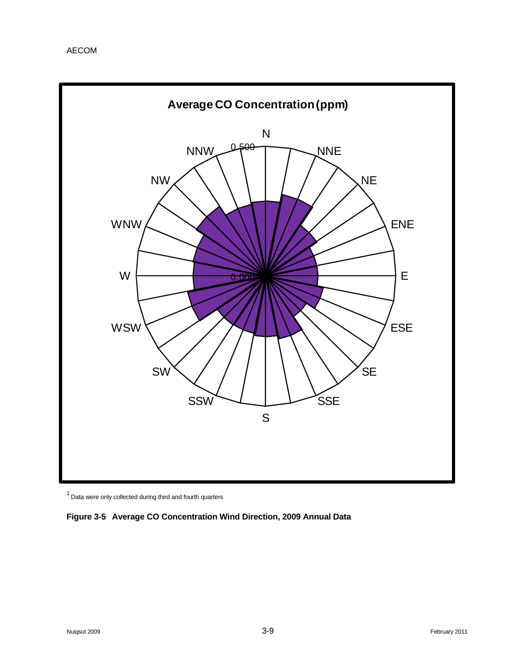![](_page_38_Figure_1.jpeg)

 $1$  Data were only collected during third and fourth quarters

![](_page_38_Figure_3.jpeg)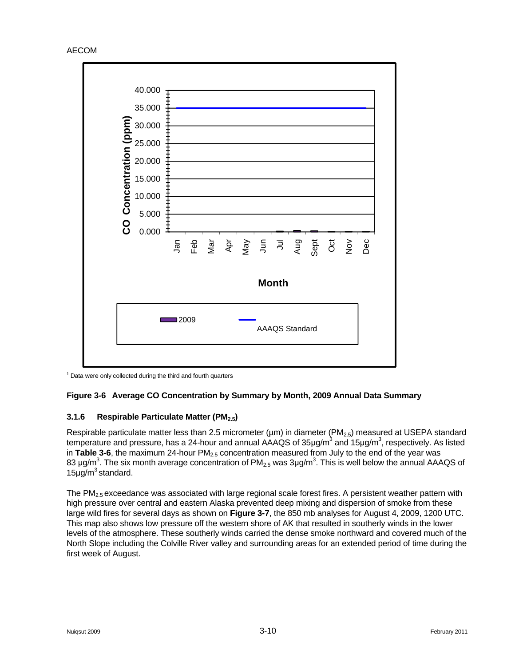![](_page_39_Figure_1.jpeg)

 $1$  Data were only collected during the third and fourth quarters

# **Figure 3-6 Average CO Concentration by Summary by Month, 2009 Annual Data Summary**

#### **3.1.6 Respirable Particulate Matter (PM2.5)**

Respirable particulate matter less than 2.5 micrometer ( $\mu$ m) in diameter ( $PM_{2.5}$ ) measured at USEPA standard temperature and pressure, has a 24-hour and annual AAAQS of 35µg/m<sup>3</sup> and 15µg/m<sup>3</sup>, respectively. As listed in **Table 3-6**, the maximum 24-hour PM<sub>2.5</sub> concentration measured from July to the end of the year was 83 μg/m<sup>3</sup>. The six month average concentration of PM<sub>2.5</sub> was 3μg/m<sup>3</sup>. This is well below the annual AAAQS of  $15\mu q/m^3$  standard.

The  $PM_{2.5}$  exceedance was associated with large regional scale forest fires. A persistent weather pattern with high pressure over central and eastern Alaska prevented deep mixing and dispersion of smoke from these large wild fires for several days as shown on **Figure 3-7**, the 850 mb analyses for August 4, 2009, 1200 UTC. This map also shows low pressure off the western shore of AK that resulted in southerly winds in the lower levels of the atmosphere. These southerly winds carried the dense smoke northward and covered much of the North Slope including the Colville River valley and surrounding areas for an extended period of time during the first week of August.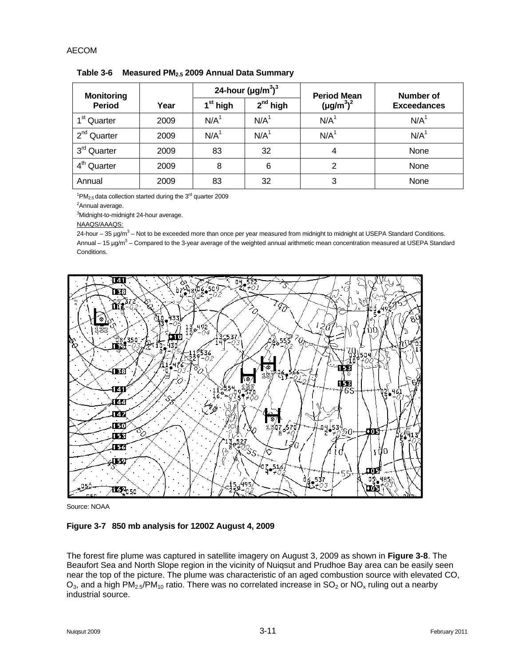| <b>Monitoring</b>       |      |                      | 24-hour $(\mu g/m^3)^3$ | <b>Period Mean</b> | Number of          |  |
|-------------------------|------|----------------------|-------------------------|--------------------|--------------------|--|
| <b>Period</b>           | Year | 1 <sup>st</sup> high | $2nd$ high              | $(\mu g/m^3)^2$    | <b>Exceedances</b> |  |
| 1 <sup>st</sup> Quarter | 2009 | N/A <sup>1</sup>     | N/A <sup>1</sup>        | N/A <sup>1</sup>   | N/A <sup>1</sup>   |  |
| 2 <sup>nd</sup> Quarter | 2009 | N/A <sup>1</sup>     | N/A <sup>1</sup>        | N/A <sup>1</sup>   | N/A <sup>1</sup>   |  |
| 3 <sup>rd</sup> Quarter | 2009 | 83                   | 32                      | 4                  | None               |  |
| 4 <sup>th</sup> Quarter | 2009 | 8                    | 6                       | 2                  | None               |  |
| Annual                  | 2009 | 83                   | 32                      | 3                  | None               |  |

**Table 3-6 Measured PM2.5 2009 Annual Data Summary** 

 $1^1$ PM<sub>2.5</sub> data collection started during the 3<sup>rd</sup> quarter 2009

<sup>2</sup>Annual average.

<sup>3</sup>Midnight-to-midnight 24-hour average.

NAAQS/AAAQS:

24-hour – 35 µg/m<sup>3</sup> – Not to be exceeded more than once per year measured from midnight to midnight at USEPA Standard Conditions. Annual – 15 µg/m<sup>3</sup> – Compared to the 3-year average of the weighted annual arithmetic mean concentration measured at USEPA Standard Conditions.

![](_page_40_Figure_8.jpeg)

Source: NOAA

#### **Figure 3-7 850 mb analysis for 1200Z August 4, 2009**

The forest fire plume was captured in satellite imagery on August 3, 2009 as shown in **Figure 3-8**. The Beaufort Sea and North Slope region in the vicinity of Nuiqsut and Prudhoe Bay area can be easily seen near the top of the picture. The plume was characteristic of an aged combustion source with elevated CO,  $O_3$ , and a high PM<sub>2.5</sub>/PM<sub>10</sub> ratio. There was no correlated increase in SO<sub>2</sub> or NO<sub>x</sub> ruling out a nearby industrial source.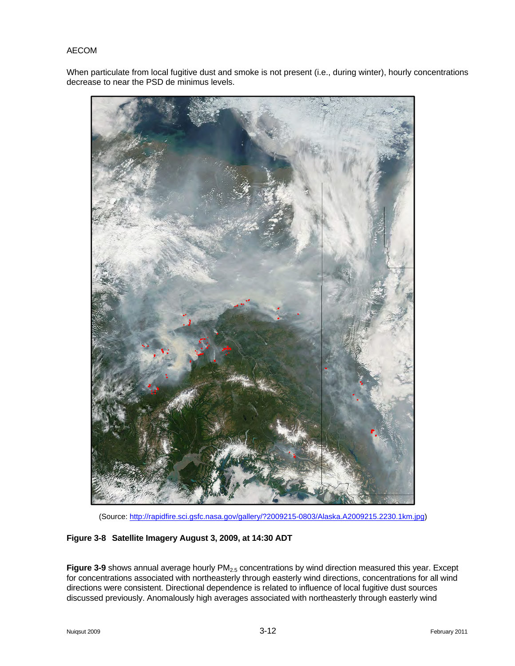When particulate from local fugitive dust and smoke is not present (i.e., during winter), hourly concentrations decrease to near the PSD de minimus levels.

![](_page_41_Picture_2.jpeg)

(Source: http://rapidfire.sci.gsfc.nasa.gov/gallery/?2009215-0803/Alaska.A2009215.2230.1km.jpg)

#### **Figure 3-8 Satellite Imagery August 3, 2009, at 14:30 ADT**

Figure 3-9 shows annual average hourly PM<sub>2.5</sub> concentrations by wind direction measured this year. Except for concentrations associated with northeasterly through easterly wind directions, concentrations for all wind directions were consistent. Directional dependence is related to influence of local fugitive dust sources discussed previously. Anomalously high averages associated with northeasterly through easterly wind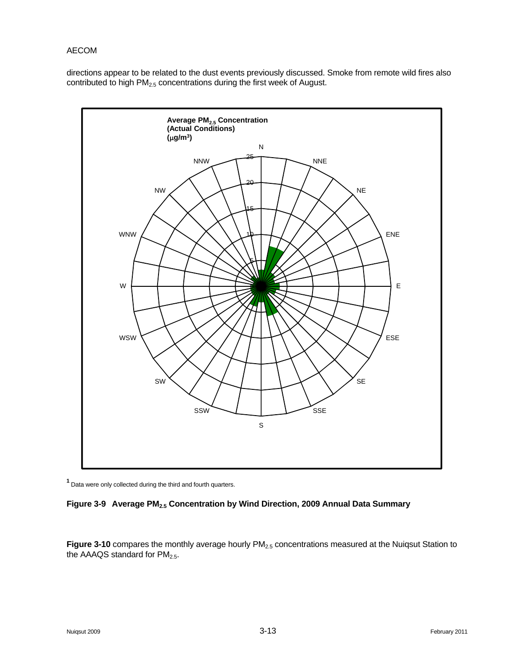directions appear to be related to the dust events previously discussed. Smoke from remote wild fires also contributed to high PM<sub>2.5</sub> concentrations during the first week of August.

![](_page_42_Figure_2.jpeg)

**<sup>1</sup>**Data were only collected during the third and fourth quarters.

#### **Figure 3-9 Average PM2.5 Concentration by Wind Direction, 2009 Annual Data Summary**

Figure 3-10 compares the monthly average hourly PM<sub>2.5</sub> concentrations measured at the Nuiqsut Station to the AAAQS standard for  $PM<sub>2.5</sub>$ .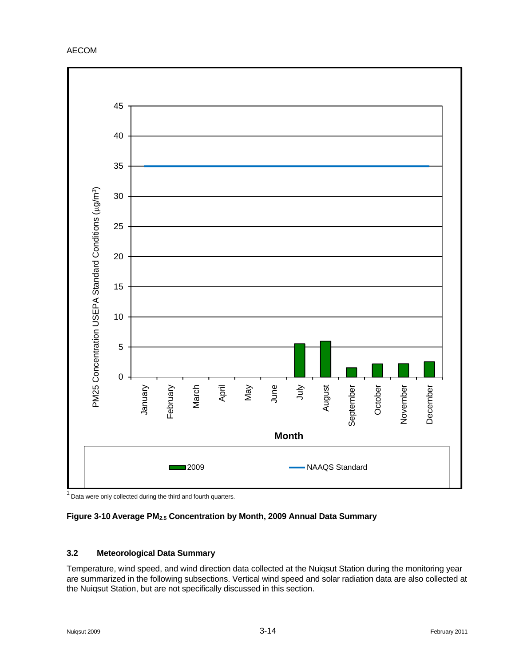![](_page_43_Figure_1.jpeg)

Data were only collected during the third and fourth quarters.

# Figure 3-10 Average PM<sub>2.5</sub> Concentration by Month, 2009 Annual Data Summary

#### **3.2 Meteorological Data Summary**

Temperature, wind speed, and wind direction data collected at the Nuiqsut Station during the monitoring year are summarized in the following subsections. Vertical wind speed and solar radiation data are also collected at the Nuiqsut Station, but are not specifically discussed in this section.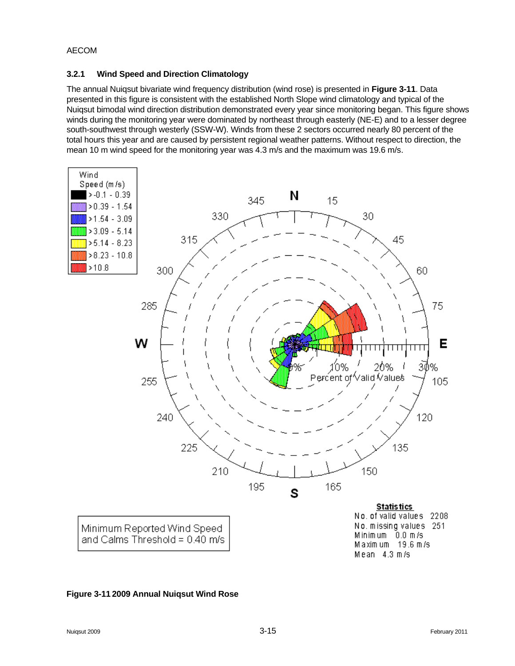## **3.2.1 Wind Speed and Direction Climatology**

The annual Nuiqsut bivariate wind frequency distribution (wind rose) is presented in **Figure 3-11**. Data presented in this figure is consistent with the established North Slope wind climatology and typical of the Nuiqsut bimodal wind direction distribution demonstrated every year since monitoring began. This figure shows winds during the monitoring year were dominated by northeast through easterly (NE-E) and to a lesser degree south-southwest through westerly (SSW-W). Winds from these 2 sectors occurred nearly 80 percent of the total hours this year and are caused by persistent regional weather patterns. Without respect to direction, the mean 10 m wind speed for the monitoring year was 4.3 m/s and the maximum was 19.6 m/s.

![](_page_44_Figure_3.jpeg)

#### **Figure 3-11 2009 Annual Nuiqsut Wind Rose**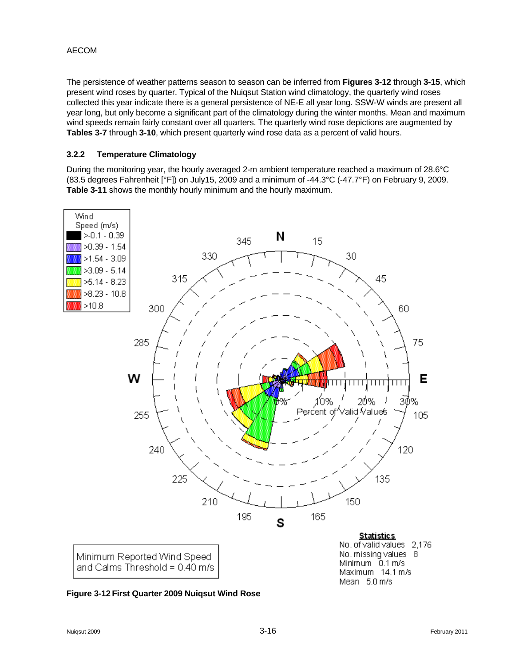The persistence of weather patterns season to season can be inferred from **Figures 3-12** through **3-15**, which present wind roses by quarter. Typical of the Nuiqsut Station wind climatology, the quarterly wind roses collected this year indicate there is a general persistence of NE-E all year long. SSW-W winds are present all year long, but only become a significant part of the climatology during the winter months. Mean and maximum wind speeds remain fairly constant over all quarters. The quarterly wind rose depictions are augmented by **Tables 3-7** through **3-10**, which present quarterly wind rose data as a percent of valid hours.

#### **3.2.2 Temperature Climatology**

During the monitoring year, the hourly averaged 2-m ambient temperature reached a maximum of 28.6°C (83.5 degrees Fahrenheit [°F]) on July15, 2009 and a minimum of -44.3°C (-47.7°F) on February 9, 2009. **Table 3-11** shows the monthly hourly minimum and the hourly maximum.

![](_page_45_Figure_4.jpeg)

![](_page_45_Figure_5.jpeg)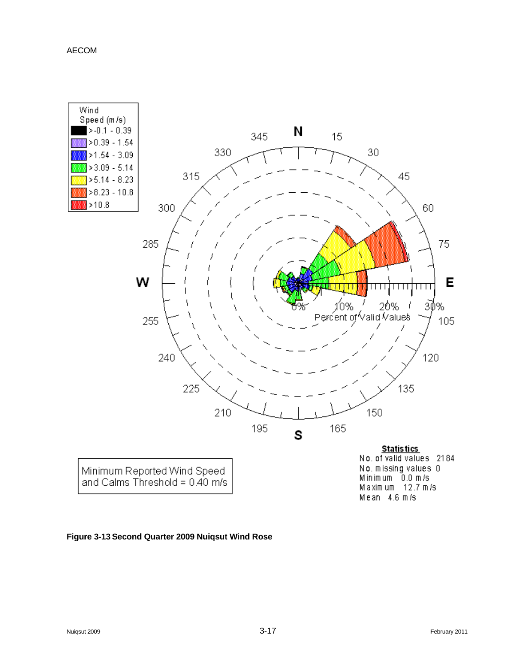![](_page_46_Figure_1.jpeg)

#### **Figure 3-13 Second Quarter 2009 Nuiqsut Wind Rose**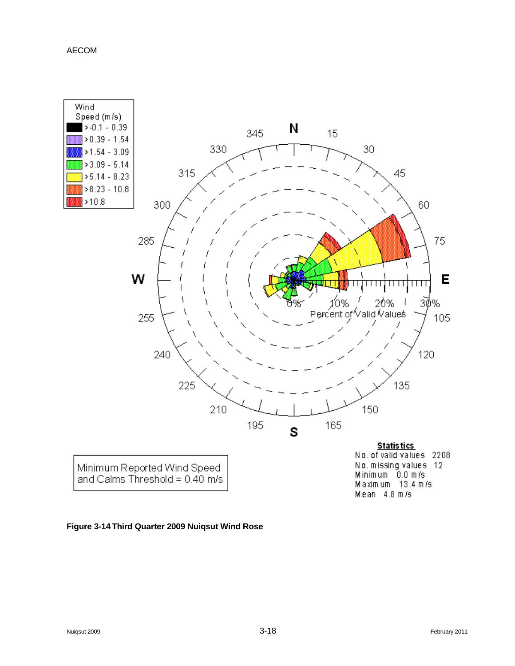![](_page_47_Figure_1.jpeg)

#### **Figure 3-14 Third Quarter 2009 Nuiqsut Wind Rose**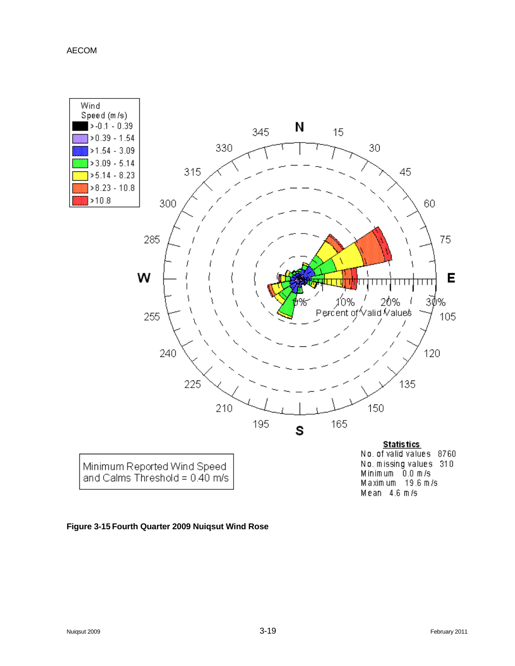![](_page_48_Figure_1.jpeg)

#### **Figure 3-15 Fourth Quarter 2009 Nuiqsut Wind Rose**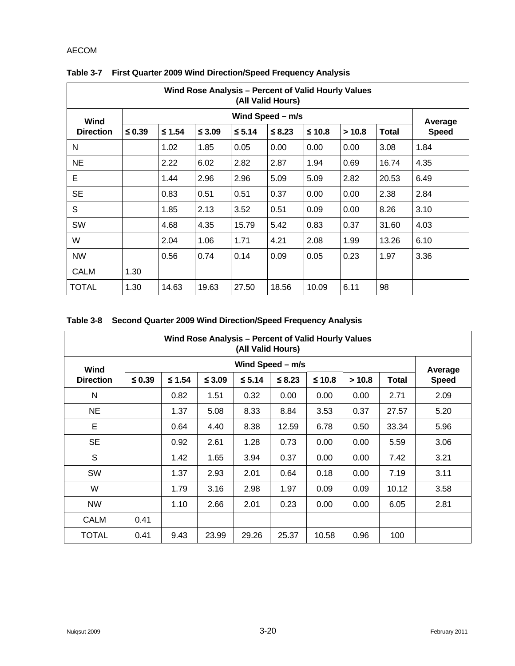| Wind Rose Analysis - Percent of Valid Hourly Values<br>(All Valid Hours) |                  |          |             |          |          |          |        |              |                         |  |  |  |
|--------------------------------------------------------------------------|------------------|----------|-------------|----------|----------|----------|--------|--------------|-------------------------|--|--|--|
| Wind                                                                     | Wind Speed - m/s |          |             |          |          |          |        |              |                         |  |  |  |
| <b>Direction</b>                                                         | $≤ 0.39$         | $≤ 1.54$ | $\leq 3.09$ | $≤ 5.14$ | $≤ 8.23$ | $≤ 10.8$ | > 10.8 | <b>Total</b> | Average<br><b>Speed</b> |  |  |  |
| N                                                                        |                  | 1.02     | 1.85        | 0.05     | 0.00     | 0.00     | 0.00   | 3.08         | 1.84                    |  |  |  |
| <b>NE</b>                                                                |                  | 2.22     | 6.02        | 2.82     | 2.87     | 1.94     | 0.69   | 16.74        | 4.35                    |  |  |  |
| Е                                                                        |                  | 1.44     | 2.96        | 2.96     | 5.09     | 5.09     | 2.82   | 20.53        | 6.49                    |  |  |  |
| <b>SE</b>                                                                |                  | 0.83     | 0.51        | 0.51     | 0.37     | 0.00     | 0.00   | 2.38         | 2.84                    |  |  |  |
| S                                                                        |                  | 1.85     | 2.13        | 3.52     | 0.51     | 0.09     | 0.00   | 8.26         | 3.10                    |  |  |  |
| SW                                                                       |                  | 4.68     | 4.35        | 15.79    | 5.42     | 0.83     | 0.37   | 31.60        | 4.03                    |  |  |  |
| W                                                                        |                  | 2.04     | 1.06        | 1.71     | 4.21     | 2.08     | 1.99   | 13.26        | 6.10                    |  |  |  |
| <b>NW</b>                                                                |                  | 0.56     | 0.74        | 0.14     | 0.09     | 0.05     | 0.23   | 1.97         | 3.36                    |  |  |  |
| <b>CALM</b>                                                              | 1.30             |          |             |          |          |          |        |              |                         |  |  |  |
| <b>TOTAL</b>                                                             | 1.30             | 14.63    | 19.63       | 27.50    | 18.56    | 10.09    | 6.11   | 98           |                         |  |  |  |

# **Table 3-7 First Quarter 2009 Wind Direction/Speed Frequency Analysis**

|  |  | Table 3-8 Second Quarter 2009 Wind Direction/Speed Frequency Analysis |  |  |
|--|--|-----------------------------------------------------------------------|--|--|
|--|--|-----------------------------------------------------------------------|--|--|

| Wind Rose Analysis – Percent of Valid Hourly Values<br>(All Valid Hours) |                  |          |             |             |             |          |        |              |                         |  |
|--------------------------------------------------------------------------|------------------|----------|-------------|-------------|-------------|----------|--------|--------------|-------------------------|--|
| Wind                                                                     | Wind Speed - m/s |          |             |             |             |          |        |              |                         |  |
| <b>Direction</b>                                                         | ≤ 0.39           | $≤ 1.54$ | $\leq 3.09$ | $\leq 5.14$ | $\leq 8.23$ | $≤ 10.8$ | > 10.8 | <b>Total</b> | Average<br><b>Speed</b> |  |
| N                                                                        |                  | 0.82     | 1.51        | 0.32        | 0.00        | 0.00     | 0.00   | 2.71         | 2.09                    |  |
| <b>NE</b>                                                                |                  | 1.37     | 5.08        | 8.33        | 8.84        | 3.53     | 0.37   | 27.57        | 5.20                    |  |
| E                                                                        |                  | 0.64     | 4.40        | 8.38        | 12.59       | 6.78     | 0.50   | 33.34        | 5.96                    |  |
| <b>SE</b>                                                                |                  | 0.92     | 2.61        | 1.28        | 0.73        | 0.00     | 0.00   | 5.59         | 3.06                    |  |
| S                                                                        |                  | 1.42     | 1.65        | 3.94        | 0.37        | 0.00     | 0.00   | 7.42         | 3.21                    |  |
| SW                                                                       |                  | 1.37     | 2.93        | 2.01        | 0.64        | 0.18     | 0.00   | 7.19         | 3.11                    |  |
| W                                                                        |                  | 1.79     | 3.16        | 2.98        | 1.97        | 0.09     | 0.09   | 10.12        | 3.58                    |  |
| <b>NW</b>                                                                |                  | 1.10     | 2.66        | 2.01        | 0.23        | 0.00     | 0.00   | 6.05         | 2.81                    |  |
| <b>CALM</b>                                                              | 0.41             |          |             |             |             |          |        |              |                         |  |
| TOTAL                                                                    | 0.41             | 9.43     | 23.99       | 29.26       | 25.37       | 10.58    | 0.96   | 100          |                         |  |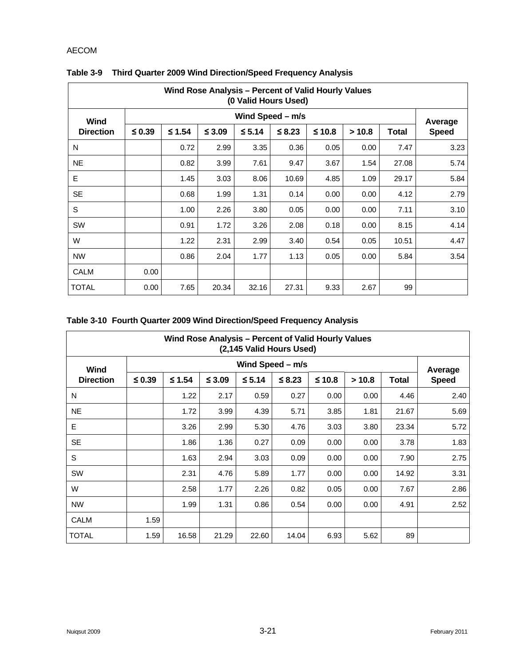| Wind Rose Analysis - Percent of Valid Hourly Values<br>(0 Valid Hours Used) |                  |          |             |          |             |          |        |       |                         |  |
|-----------------------------------------------------------------------------|------------------|----------|-------------|----------|-------------|----------|--------|-------|-------------------------|--|
| Wind                                                                        | Wind Speed - m/s |          |             |          |             |          |        |       |                         |  |
| <b>Direction</b>                                                            | $≤$ 0.39         | $≤ 1.54$ | $\leq 3.09$ | $≤ 5.14$ | $\leq 8.23$ | $≤ 10.8$ | > 10.8 | Total | Average<br><b>Speed</b> |  |
| N                                                                           |                  | 0.72     | 2.99        | 3.35     | 0.36        | 0.05     | 0.00   | 7.47  | 3.23                    |  |
| <b>NE</b>                                                                   |                  | 0.82     | 3.99        | 7.61     | 9.47        | 3.67     | 1.54   | 27.08 | 5.74                    |  |
| Е                                                                           |                  | 1.45     | 3.03        | 8.06     | 10.69       | 4.85     | 1.09   | 29.17 | 5.84                    |  |
| <b>SE</b>                                                                   |                  | 0.68     | 1.99        | 1.31     | 0.14        | 0.00     | 0.00   | 4.12  | 2.79                    |  |
| S                                                                           |                  | 1.00     | 2.26        | 3.80     | 0.05        | 0.00     | 0.00   | 7.11  | 3.10                    |  |
| <b>SW</b>                                                                   |                  | 0.91     | 1.72        | 3.26     | 2.08        | 0.18     | 0.00   | 8.15  | 4.14                    |  |
| W                                                                           |                  | 1.22     | 2.31        | 2.99     | 3.40        | 0.54     | 0.05   | 10.51 | 4.47                    |  |
| <b>NW</b>                                                                   |                  | 0.86     | 2.04        | 1.77     | 1.13        | 0.05     | 0.00   | 5.84  | 3.54                    |  |
| <b>CALM</b>                                                                 | 0.00             |          |             |          |             |          |        |       |                         |  |
| <b>TOTAL</b>                                                                | 0.00             | 7.65     | 20.34       | 32.16    | 27.31       | 9.33     | 2.67   | 99    |                         |  |

# **Table 3-9 Third Quarter 2009 Wind Direction/Speed Frequency Analysis**

# **Table 3-10 Fourth Quarter 2009 Wind Direction/Speed Frequency Analysis**

| Wind Rose Analysis – Percent of Valid Hourly Values<br>(2,145 Valid Hours Used) |                  |          |             |             |             |          |        |       |                         |  |  |  |
|---------------------------------------------------------------------------------|------------------|----------|-------------|-------------|-------------|----------|--------|-------|-------------------------|--|--|--|
| Wind<br><b>Direction</b>                                                        | Wind Speed - m/s |          |             |             |             |          |        |       |                         |  |  |  |
|                                                                                 | $\leq 0.39$      | $≤ 1.54$ | $\leq$ 3.09 | $\leq 5.14$ | $\leq 8.23$ | $≤ 10.8$ | > 10.8 | Total | Average<br><b>Speed</b> |  |  |  |
| N                                                                               |                  | 1.22     | 2.17        | 0.59        | 0.27        | 0.00     | 0.00   | 4.46  | 2.40                    |  |  |  |
| <b>NE</b>                                                                       |                  | 1.72     | 3.99        | 4.39        | 5.71        | 3.85     | 1.81   | 21.67 | 5.69                    |  |  |  |
| E.                                                                              |                  | 3.26     | 2.99        | 5.30        | 4.76        | 3.03     | 3.80   | 23.34 | 5.72                    |  |  |  |
| <b>SE</b>                                                                       |                  | 1.86     | 1.36        | 0.27        | 0.09        | 0.00     | 0.00   | 3.78  | 1.83                    |  |  |  |
| S                                                                               |                  | 1.63     | 2.94        | 3.03        | 0.09        | 0.00     | 0.00   | 7.90  | 2.75                    |  |  |  |
| <b>SW</b>                                                                       |                  | 2.31     | 4.76        | 5.89        | 1.77        | 0.00     | 0.00   | 14.92 | 3.31                    |  |  |  |
| W                                                                               |                  | 2.58     | 1.77        | 2.26        | 0.82        | 0.05     | 0.00   | 7.67  | 2.86                    |  |  |  |
| <b>NW</b>                                                                       |                  | 1.99     | 1.31        | 0.86        | 0.54        | 0.00     | 0.00   | 4.91  | 2.52                    |  |  |  |
| <b>CALM</b>                                                                     | 1.59             |          |             |             |             |          |        |       |                         |  |  |  |
| <b>TOTAL</b>                                                                    | 1.59             | 16.58    | 21.29       | 22.60       | 14.04       | 6.93     | 5.62   | 89    |                         |  |  |  |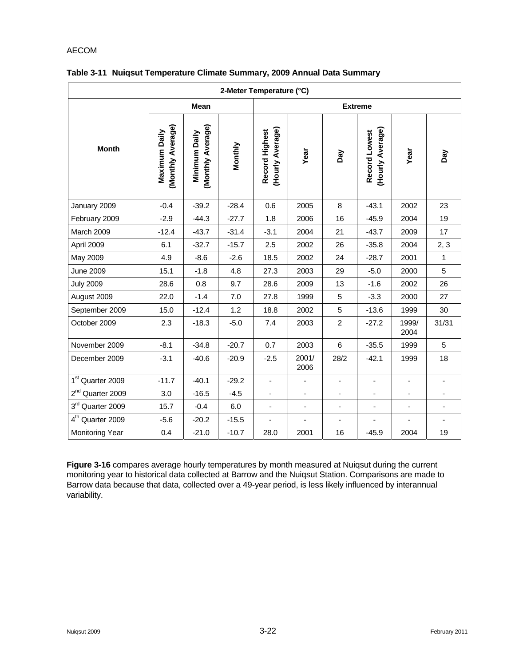| 2-Meter Temperature (°C)     |                                    |                                    |         |                                    |                          |                |                                   |                              |                              |  |  |
|------------------------------|------------------------------------|------------------------------------|---------|------------------------------------|--------------------------|----------------|-----------------------------------|------------------------------|------------------------------|--|--|
|                              |                                    | Mean                               |         | <b>Extreme</b>                     |                          |                |                                   |                              |                              |  |  |
| <b>Month</b>                 | (Monthly Average)<br>Maximum Daily | (Monthly Average)<br>Minimum Daily | Monthly | (Hourly Average)<br>Record Highest | Year                     | Day            | (Hourly Average)<br>Record Lowest | Year                         | Λeg                          |  |  |
| January 2009                 | $-0.4$                             | $-39.2$                            | $-28.4$ | 0.6                                | 2005                     | 8              | $-43.1$                           | 2002                         | 23                           |  |  |
| February 2009                | $-2.9$                             | $-44.3$                            | $-27.7$ | 1.8                                | 2006                     | 16             | $-45.9$                           | 2004                         | 19                           |  |  |
| March 2009                   | $-12.4$                            | $-43.7$                            | $-31.4$ | $-3.1$                             | 2004                     | 21             | $-43.7$                           | 2009                         | 17                           |  |  |
| April 2009                   | 6.1                                | $-32.7$                            | $-15.7$ | 2.5                                | 2002                     | 26             | $-35.8$                           | 2004                         | 2, 3                         |  |  |
| May 2009                     | 4.9                                | $-8.6$                             | $-2.6$  | 18.5                               | 2002                     | 24             | $-28.7$                           | 2001                         | $\mathbf{1}$                 |  |  |
| <b>June 2009</b>             | 15.1                               | $-1.8$                             | 4.8     | 27.3                               | 2003                     | 29             | $-5.0$                            | 2000                         | 5                            |  |  |
| <b>July 2009</b>             | 28.6                               | 0.8                                | 9.7     | 28.6                               | 2009                     | 13             | $-1.6$                            | 2002                         | 26                           |  |  |
| August 2009                  | 22.0                               | $-1.4$                             | 7.0     | 27.8                               | 1999                     | 5              | $-3.3$                            | 2000                         | 27                           |  |  |
| September 2009               | 15.0                               | $-12.4$                            | 1.2     | 18.8                               | 2002                     | 5              | $-13.6$                           | 1999                         | 30                           |  |  |
| October 2009                 | 2.3                                | $-18.3$                            | $-5.0$  | 7.4                                | 2003                     | $\overline{2}$ | $-27.2$                           | 1999/<br>2004                | 31/31                        |  |  |
| November 2009                | $-8.1$                             | $-34.8$                            | $-20.7$ | 0.7                                | 2003                     | 6              | $-35.5$                           | 1999                         | 5                            |  |  |
| December 2009                | $-3.1$                             | $-40.6$                            | $-20.9$ | $-2.5$                             | 2001/<br>2006            | 28/2           | $-42.1$                           | 1999                         | 18                           |  |  |
| 1 <sup>st</sup> Quarter 2009 | $-11.7$                            | $-40.1$                            | $-29.2$ | ÷,                                 | $\blacksquare$           | ä,             | $\overline{\phantom{a}}$          | $\overline{\phantom{a}}$     | $\overline{\phantom{a}}$     |  |  |
| 2 <sup>nd</sup> Quarter 2009 | 3.0                                | $-16.5$                            | $-4.5$  | $\blacksquare$                     | $\blacksquare$           | ä,             | $\overline{\phantom{a}}$          | $\qquad \qquad \blacksquare$ | $\qquad \qquad \blacksquare$ |  |  |
| 3rd Quarter 2009             | 15.7                               | $-0.4$                             | 6.0     | $\blacksquare$                     | $\overline{\phantom{a}}$ | $\blacksquare$ |                                   | $\overline{\phantom{a}}$     | ÷,                           |  |  |
| 4 <sup>th</sup> Quarter 2009 | $-5.6$                             | $-20.2$                            | $-15.5$ | ä,                                 | $\blacksquare$           | ÷,             | ÷,                                | ÷                            | $\frac{1}{2}$                |  |  |
| <b>Monitoring Year</b>       | 0.4                                | $-21.0$                            | $-10.7$ | 28.0                               | 2001                     | 16             | $-45.9$                           | 2004                         | 19                           |  |  |

#### **Table 3-11 Nuiqsut Temperature Climate Summary, 2009 Annual Data Summary**

**Figure 3-16** compares average hourly temperatures by month measured at Nuiqsut during the current monitoring year to historical data collected at Barrow and the Nuiqsut Station. Comparisons are made to Barrow data because that data, collected over a 49-year period, is less likely influenced by interannual variability.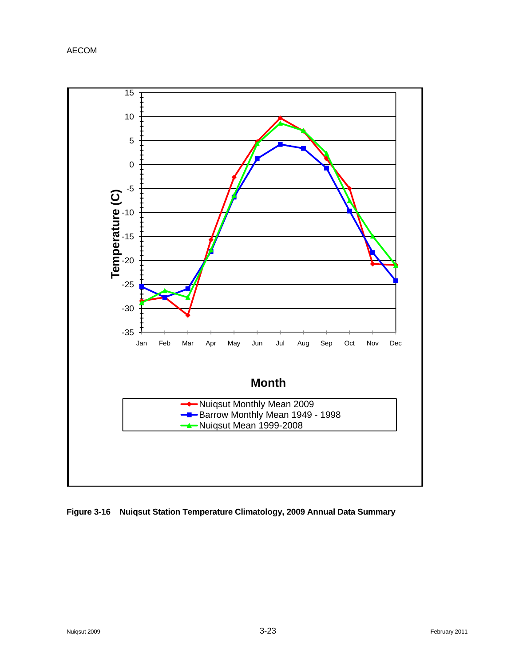![](_page_52_Figure_1.jpeg)

![](_page_52_Figure_2.jpeg)